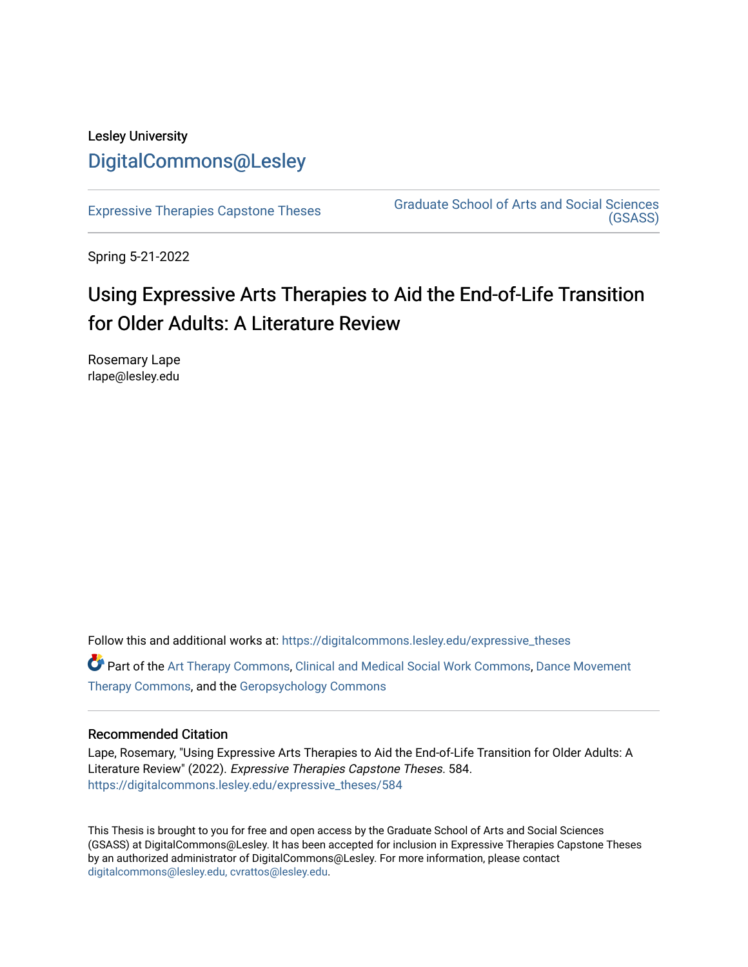## Lesley University [DigitalCommons@Lesley](https://digitalcommons.lesley.edu/)

[Expressive Therapies Capstone Theses](https://digitalcommons.lesley.edu/expressive_theses) Graduate School of Arts and Social Sciences [\(GSASS\)](https://digitalcommons.lesley.edu/gsass) 

Spring 5-21-2022

# Using Expressive Arts Therapies to Aid the End-of-Life Transition for Older Adults: A Literature Review

Rosemary Lape rlape@lesley.edu

Follow this and additional works at: [https://digitalcommons.lesley.edu/expressive\\_theses](https://digitalcommons.lesley.edu/expressive_theses?utm_source=digitalcommons.lesley.edu%2Fexpressive_theses%2F584&utm_medium=PDF&utm_campaign=PDFCoverPages)

Part of the [Art Therapy Commons](http://network.bepress.com/hgg/discipline/1077?utm_source=digitalcommons.lesley.edu%2Fexpressive_theses%2F584&utm_medium=PDF&utm_campaign=PDFCoverPages), [Clinical and Medical Social Work Commons,](http://network.bepress.com/hgg/discipline/712?utm_source=digitalcommons.lesley.edu%2Fexpressive_theses%2F584&utm_medium=PDF&utm_campaign=PDFCoverPages) [Dance Movement](http://network.bepress.com/hgg/discipline/1150?utm_source=digitalcommons.lesley.edu%2Fexpressive_theses%2F584&utm_medium=PDF&utm_campaign=PDFCoverPages)  [Therapy Commons](http://network.bepress.com/hgg/discipline/1150?utm_source=digitalcommons.lesley.edu%2Fexpressive_theses%2F584&utm_medium=PDF&utm_campaign=PDFCoverPages), and the [Geropsychology Commons](http://network.bepress.com/hgg/discipline/1420?utm_source=digitalcommons.lesley.edu%2Fexpressive_theses%2F584&utm_medium=PDF&utm_campaign=PDFCoverPages)

### Recommended Citation

Lape, Rosemary, "Using Expressive Arts Therapies to Aid the End-of-Life Transition for Older Adults: A Literature Review" (2022). Expressive Therapies Capstone Theses. 584. [https://digitalcommons.lesley.edu/expressive\\_theses/584](https://digitalcommons.lesley.edu/expressive_theses/584?utm_source=digitalcommons.lesley.edu%2Fexpressive_theses%2F584&utm_medium=PDF&utm_campaign=PDFCoverPages)

This Thesis is brought to you for free and open access by the Graduate School of Arts and Social Sciences (GSASS) at DigitalCommons@Lesley. It has been accepted for inclusion in Expressive Therapies Capstone Theses by an authorized administrator of DigitalCommons@Lesley. For more information, please contact [digitalcommons@lesley.edu, cvrattos@lesley.edu](mailto:digitalcommons@lesley.edu,%20cvrattos@lesley.edu).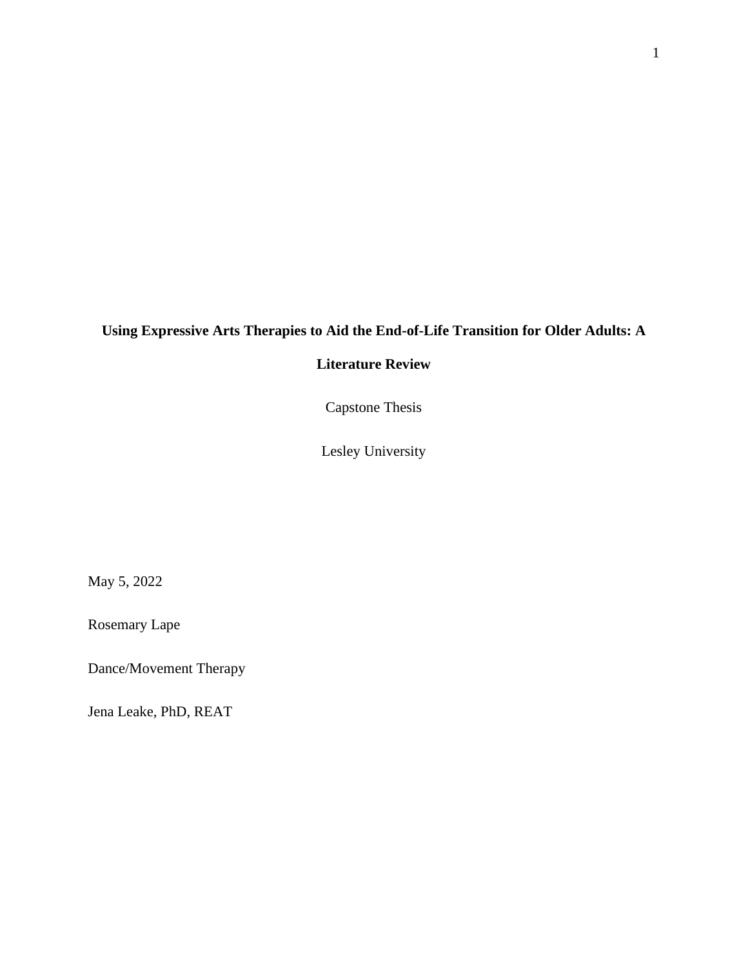## **Using Expressive Arts Therapies to Aid the End-of-Life Transition for Older Adults: A**

### **Literature Review**

Capstone Thesis

Lesley University

May 5, 2022

Rosemary Lape

Dance/Movement Therapy

Jena Leake, PhD, REAT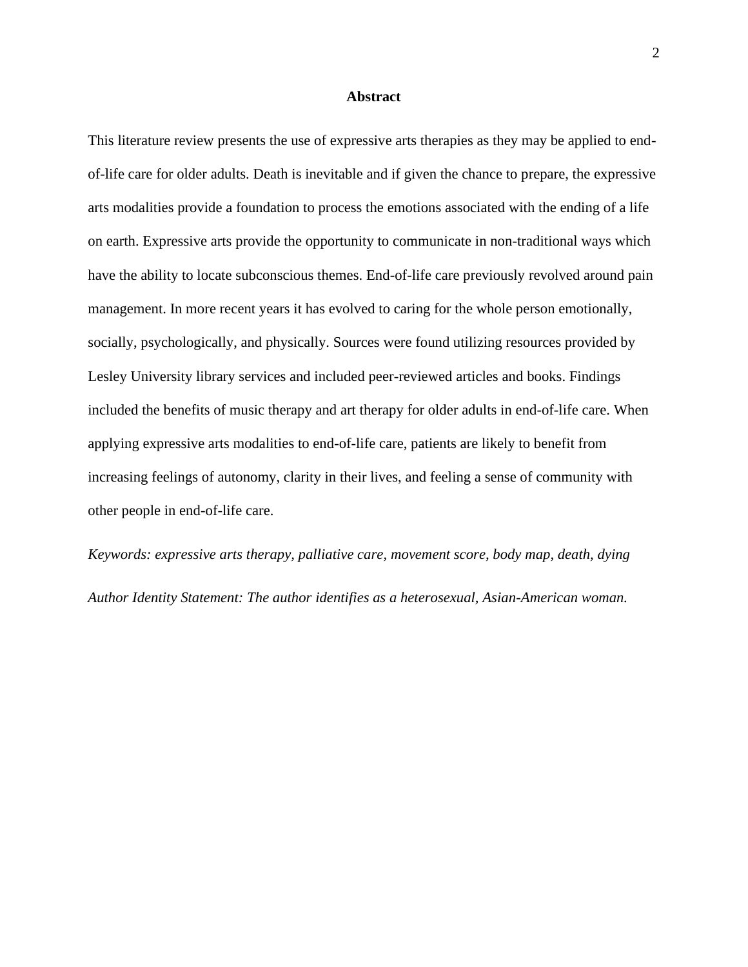#### **Abstract**

This literature review presents the use of expressive arts therapies as they may be applied to endof-life care for older adults. Death is inevitable and if given the chance to prepare, the expressive arts modalities provide a foundation to process the emotions associated with the ending of a life on earth. Expressive arts provide the opportunity to communicate in non-traditional ways which have the ability to locate subconscious themes. End-of-life care previously revolved around pain management. In more recent years it has evolved to caring for the whole person emotionally, socially, psychologically, and physically. Sources were found utilizing resources provided by Lesley University library services and included peer-reviewed articles and books. Findings included the benefits of music therapy and art therapy for older adults in end-of-life care. When applying expressive arts modalities to end-of-life care, patients are likely to benefit from increasing feelings of autonomy, clarity in their lives, and feeling a sense of community with other people in end-of-life care.

*Keywords: expressive arts therapy, palliative care, movement score, body map, death, dying Author Identity Statement: The author identifies as a heterosexual, Asian-American woman.*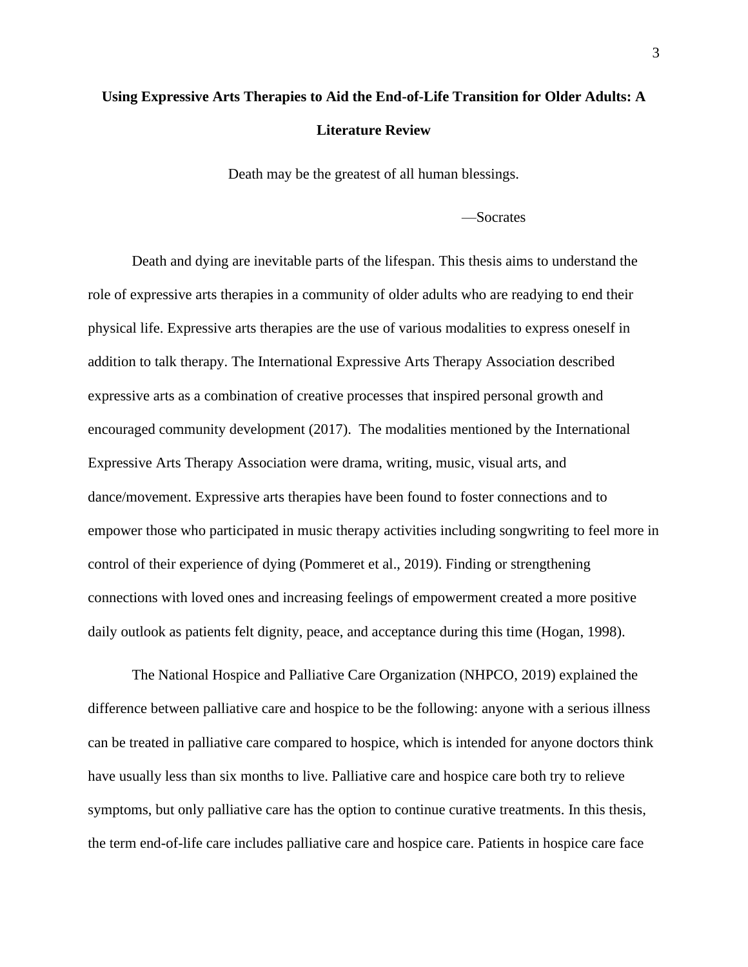## **Using Expressive Arts Therapies to Aid the End-of-Life Transition for Older Adults: A Literature Review**

Death may be the greatest of all human blessings.

#### —Socrates

Death and dying are inevitable parts of the lifespan. This thesis aims to understand the role of expressive arts therapies in a community of older adults who are readying to end their physical life. Expressive arts therapies are the use of various modalities to express oneself in addition to talk therapy. The International Expressive Arts Therapy Association described expressive arts as a combination of creative processes that inspired personal growth and encouraged community development (2017). The modalities mentioned by the International Expressive Arts Therapy Association were drama, writing, music, visual arts, and dance/movement. Expressive arts therapies have been found to foster connections and to empower those who participated in music therapy activities including songwriting to feel more in control of their experience of dying (Pommeret et al., 2019). Finding or strengthening connections with loved ones and increasing feelings of empowerment created a more positive daily outlook as patients felt dignity, peace, and acceptance during this time (Hogan, 1998).

The National Hospice and Palliative Care Organization (NHPCO, 2019) explained the difference between palliative care and hospice to be the following: anyone with a serious illness can be treated in palliative care compared to hospice, which is intended for anyone doctors think have usually less than six months to live. Palliative care and hospice care both try to relieve symptoms, but only palliative care has the option to continue curative treatments. In this thesis, the term end-of-life care includes palliative care and hospice care. Patients in hospice care face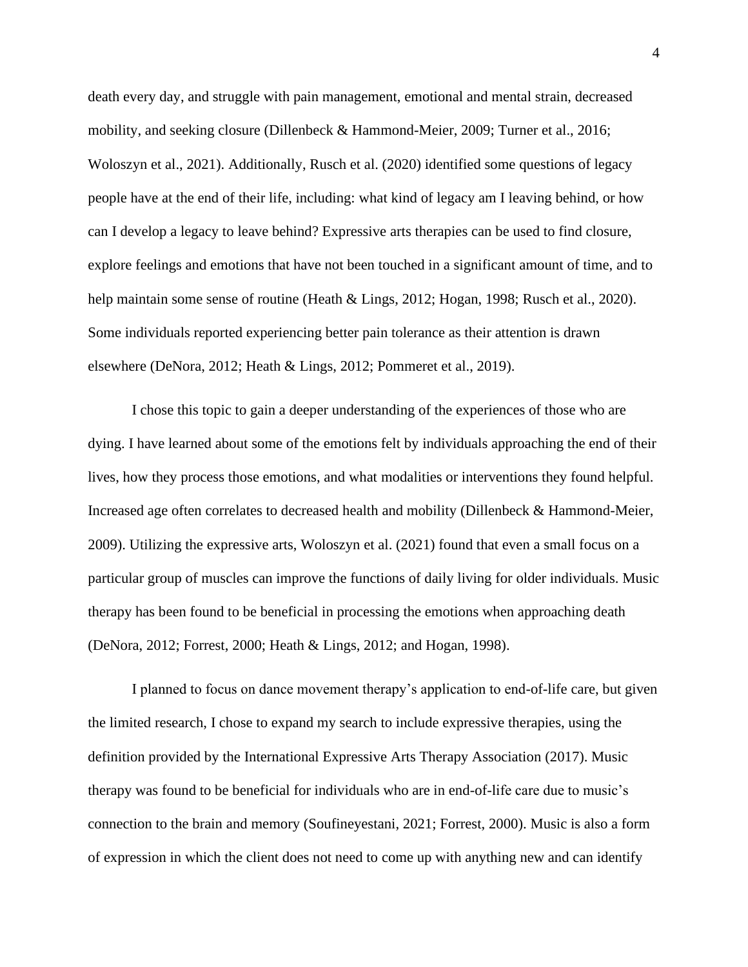death every day, and struggle with pain management, emotional and mental strain, decreased mobility, and seeking closure (Dillenbeck & Hammond-Meier, 2009; Turner et al., 2016; Woloszyn et al., 2021). Additionally, Rusch et al. (2020) identified some questions of legacy people have at the end of their life, including: what kind of legacy am I leaving behind, or how can I develop a legacy to leave behind? Expressive arts therapies can be used to find closure, explore feelings and emotions that have not been touched in a significant amount of time, and to help maintain some sense of routine (Heath & Lings, 2012; Hogan, 1998; Rusch et al., 2020). Some individuals reported experiencing better pain tolerance as their attention is drawn elsewhere (DeNora, 2012; Heath & Lings, 2012; Pommeret et al., 2019).

I chose this topic to gain a deeper understanding of the experiences of those who are dying. I have learned about some of the emotions felt by individuals approaching the end of their lives, how they process those emotions, and what modalities or interventions they found helpful. Increased age often correlates to decreased health and mobility (Dillenbeck & Hammond-Meier, 2009). Utilizing the expressive arts, Woloszyn et al. (2021) found that even a small focus on a particular group of muscles can improve the functions of daily living for older individuals. Music therapy has been found to be beneficial in processing the emotions when approaching death (DeNora, 2012; Forrest, 2000; Heath & Lings, 2012; and Hogan, 1998).

I planned to focus on dance movement therapy's application to end-of-life care, but given the limited research, I chose to expand my search to include expressive therapies, using the definition provided by the International Expressive Arts Therapy Association (2017). Music therapy was found to be beneficial for individuals who are in end-of-life care due to music's connection to the brain and memory (Soufineyestani, 2021; Forrest, 2000). Music is also a form of expression in which the client does not need to come up with anything new and can identify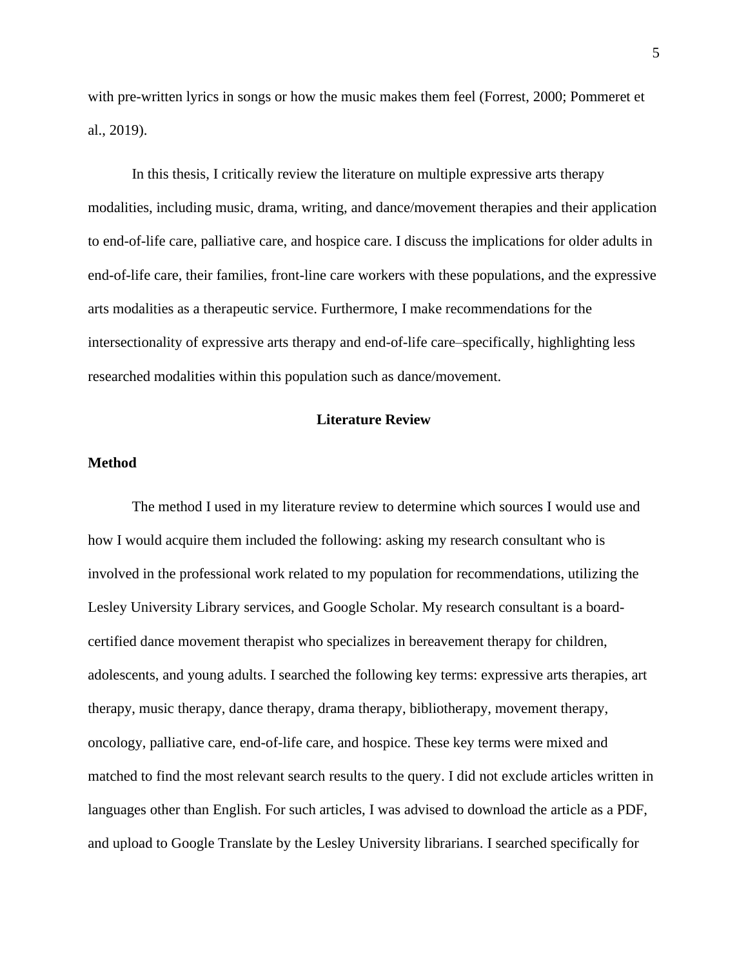with pre-written lyrics in songs or how the music makes them feel (Forrest, 2000; Pommeret et al., 2019).

In this thesis, I critically review the literature on multiple expressive arts therapy modalities, including music, drama, writing, and dance/movement therapies and their application to end-of-life care, palliative care, and hospice care. I discuss the implications for older adults in end-of-life care, their families, front-line care workers with these populations, and the expressive arts modalities as a therapeutic service. Furthermore, I make recommendations for the intersectionality of expressive arts therapy and end-of-life care–specifically, highlighting less researched modalities within this population such as dance/movement.

#### **Literature Review**

#### **Method**

The method I used in my literature review to determine which sources I would use and how I would acquire them included the following: asking my research consultant who is involved in the professional work related to my population for recommendations, utilizing the Lesley University Library services, and Google Scholar. My research consultant is a boardcertified dance movement therapist who specializes in bereavement therapy for children, adolescents, and young adults. I searched the following key terms: expressive arts therapies, art therapy, music therapy, dance therapy, drama therapy, bibliotherapy, movement therapy, oncology, palliative care, end-of-life care, and hospice. These key terms were mixed and matched to find the most relevant search results to the query. I did not exclude articles written in languages other than English. For such articles, I was advised to download the article as a PDF, and upload to Google Translate by the Lesley University librarians. I searched specifically for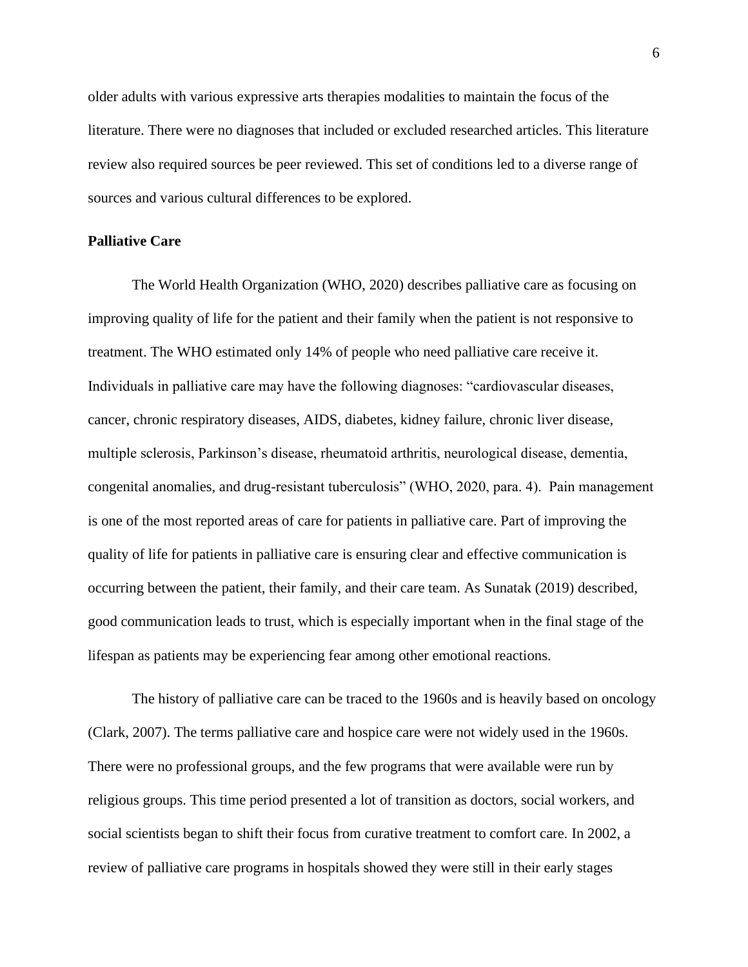older adults with various expressive arts therapies modalities to maintain the focus of the literature. There were no diagnoses that included or excluded researched articles. This literature review also required sources be peer reviewed. This set of conditions led to a diverse range of sources and various cultural differences to be explored.

#### **Palliative Care**

The World Health Organization (WHO, 2020) describes palliative care as focusing on improving quality of life for the patient and their family when the patient is not responsive to treatment. The WHO estimated only 14% of people who need palliative care receive it. Individuals in palliative care may have the following diagnoses: "cardiovascular diseases, cancer, chronic respiratory diseases, AIDS, diabetes, kidney failure, chronic liver disease, multiple sclerosis, Parkinson's disease, rheumatoid arthritis, neurological disease, dementia, congenital anomalies, and drug-resistant tuberculosis" (WHO, 2020, para. 4). Pain management is one of the most reported areas of care for patients in palliative care. Part of improving the quality of life for patients in palliative care is ensuring clear and effective communication is occurring between the patient, their family, and their care team. As Sunatak (2019) described, good communication leads to trust, which is especially important when in the final stage of the lifespan as patients may be experiencing fear among other emotional reactions.

The history of palliative care can be traced to the 1960s and is heavily based on oncology (Clark, 2007). The terms palliative care and hospice care were not widely used in the 1960s. There were no professional groups, and the few programs that were available were run by religious groups. This time period presented a lot of transition as doctors, social workers, and social scientists began to shift their focus from curative treatment to comfort care. In 2002, a review of palliative care programs in hospitals showed they were still in their early stages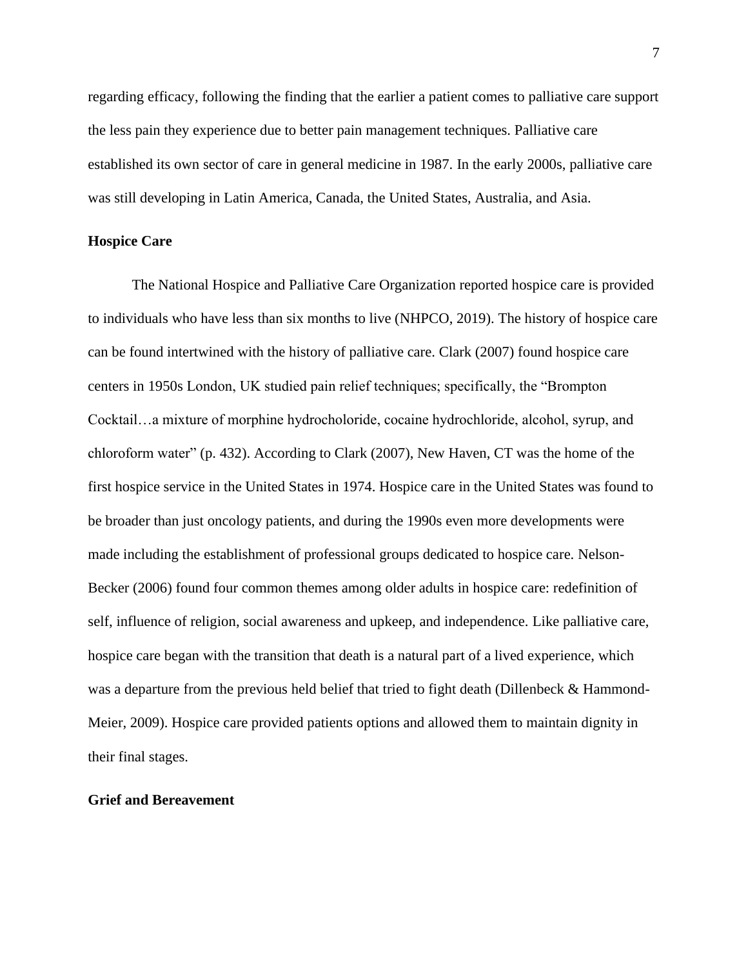regarding efficacy, following the finding that the earlier a patient comes to palliative care support the less pain they experience due to better pain management techniques. Palliative care established its own sector of care in general medicine in 1987. In the early 2000s, palliative care was still developing in Latin America, Canada, the United States, Australia, and Asia.

#### **Hospice Care**

The National Hospice and Palliative Care Organization reported hospice care is provided to individuals who have less than six months to live (NHPCO, 2019). The history of hospice care can be found intertwined with the history of palliative care. Clark (2007) found hospice care centers in 1950s London, UK studied pain relief techniques; specifically, the "Brompton Cocktail…a mixture of morphine hydrocholoride, cocaine hydrochloride, alcohol, syrup, and chloroform water" (p. 432). According to Clark (2007), New Haven, CT was the home of the first hospice service in the United States in 1974. Hospice care in the United States was found to be broader than just oncology patients, and during the 1990s even more developments were made including the establishment of professional groups dedicated to hospice care. Nelson-Becker (2006) found four common themes among older adults in hospice care: redefinition of self, influence of religion, social awareness and upkeep, and independence. Like palliative care, hospice care began with the transition that death is a natural part of a lived experience, which was a departure from the previous held belief that tried to fight death (Dillenbeck  $\&$  Hammond-Meier, 2009). Hospice care provided patients options and allowed them to maintain dignity in their final stages.

#### **Grief and Bereavement**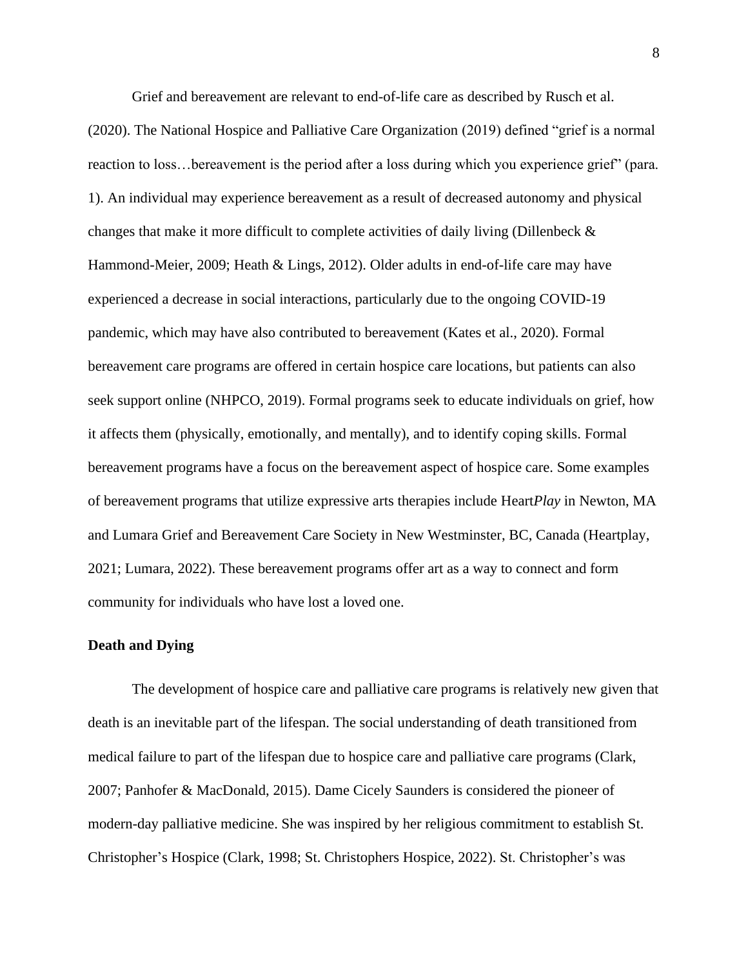Grief and bereavement are relevant to end-of-life care as described by Rusch et al.

(2020). The National Hospice and Palliative Care Organization (2019) defined "grief is a normal reaction to loss…bereavement is the period after a loss during which you experience grief" (para. 1). An individual may experience bereavement as a result of decreased autonomy and physical changes that make it more difficult to complete activities of daily living (Dillenbeck & Hammond-Meier, 2009; Heath & Lings, 2012). Older adults in end-of-life care may have experienced a decrease in social interactions, particularly due to the ongoing COVID-19 pandemic, which may have also contributed to bereavement (Kates et al., 2020). Formal bereavement care programs are offered in certain hospice care locations, but patients can also seek support online (NHPCO, 2019). Formal programs seek to educate individuals on grief, how it affects them (physically, emotionally, and mentally), and to identify coping skills. Formal bereavement programs have a focus on the bereavement aspect of hospice care. Some examples of bereavement programs that utilize expressive arts therapies include Heart*Play* in Newton, MA and Lumara Grief and Bereavement Care Society in New Westminster, BC, Canada (Heartplay, 2021; Lumara, 2022). These bereavement programs offer art as a way to connect and form community for individuals who have lost a loved one.

#### **Death and Dying**

The development of hospice care and palliative care programs is relatively new given that death is an inevitable part of the lifespan. The social understanding of death transitioned from medical failure to part of the lifespan due to hospice care and palliative care programs (Clark, 2007; Panhofer & MacDonald, 2015). Dame Cicely Saunders is considered the pioneer of modern-day palliative medicine. She was inspired by her religious commitment to establish St. Christopher's Hospice (Clark, 1998; St. Christophers Hospice, 2022). St. Christopher's was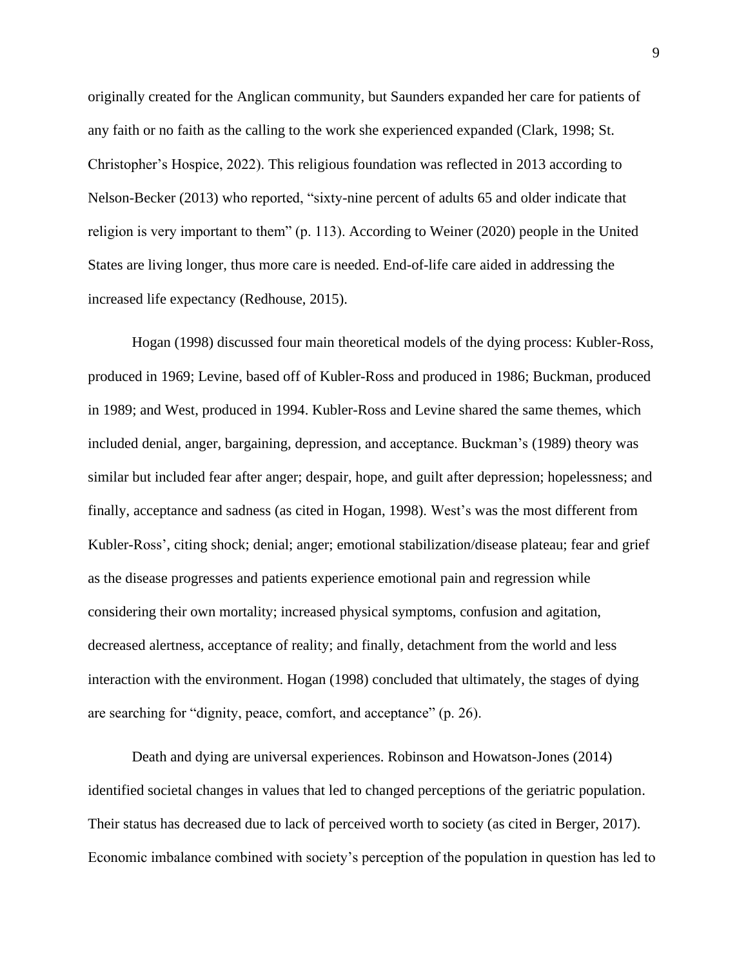originally created for the Anglican community, but Saunders expanded her care for patients of any faith or no faith as the calling to the work she experienced expanded (Clark, 1998; St. Christopher's Hospice, 2022). This religious foundation was reflected in 2013 according to Nelson-Becker (2013) who reported, "sixty-nine percent of adults 65 and older indicate that religion is very important to them" (p. 113). According to Weiner (2020) people in the United States are living longer, thus more care is needed. End-of-life care aided in addressing the increased life expectancy (Redhouse, 2015).

Hogan (1998) discussed four main theoretical models of the dying process: Kubler-Ross, produced in 1969; Levine, based off of Kubler-Ross and produced in 1986; Buckman, produced in 1989; and West, produced in 1994. Kubler-Ross and Levine shared the same themes, which included denial, anger, bargaining, depression, and acceptance. Buckman's (1989) theory was similar but included fear after anger; despair, hope, and guilt after depression; hopelessness; and finally, acceptance and sadness (as cited in Hogan, 1998). West's was the most different from Kubler-Ross', citing shock; denial; anger; emotional stabilization/disease plateau; fear and grief as the disease progresses and patients experience emotional pain and regression while considering their own mortality; increased physical symptoms, confusion and agitation, decreased alertness, acceptance of reality; and finally, detachment from the world and less interaction with the environment. Hogan (1998) concluded that ultimately, the stages of dying are searching for "dignity, peace, comfort, and acceptance" (p. 26).

Death and dying are universal experiences. Robinson and Howatson-Jones (2014) identified societal changes in values that led to changed perceptions of the geriatric population. Their status has decreased due to lack of perceived worth to society (as cited in Berger, 2017). Economic imbalance combined with society's perception of the population in question has led to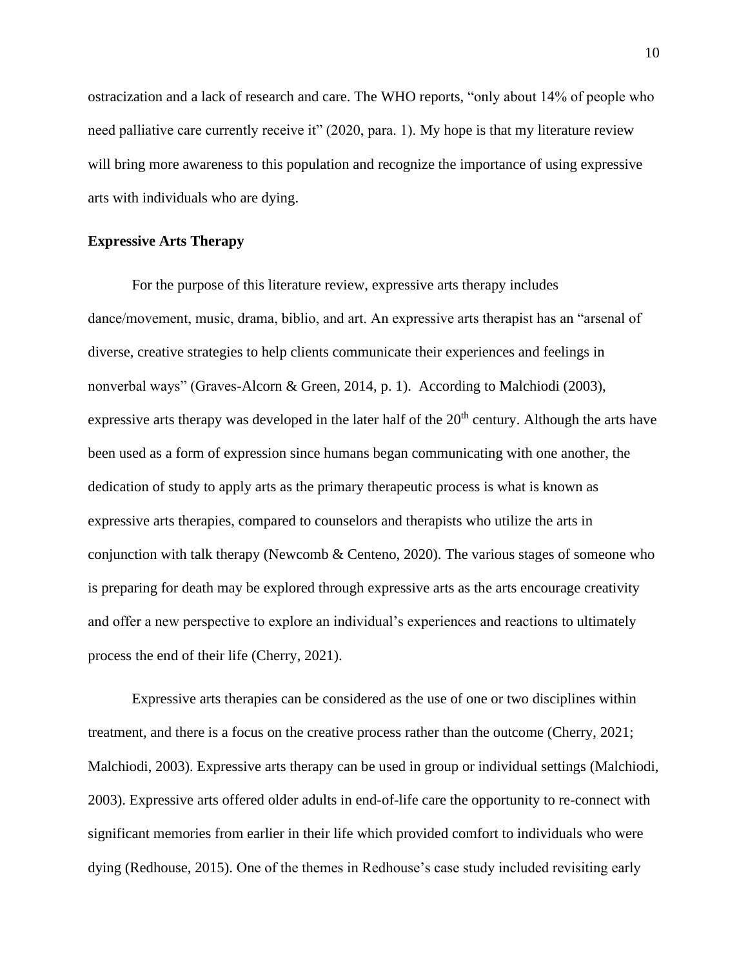ostracization and a lack of research and care. The WHO reports, "only about 14% of people who need palliative care currently receive it" (2020, para. 1). My hope is that my literature review will bring more awareness to this population and recognize the importance of using expressive arts with individuals who are dying.

#### **Expressive Arts Therapy**

For the purpose of this literature review, expressive arts therapy includes dance/movement, music, drama, biblio, and art. An expressive arts therapist has an "arsenal of diverse, creative strategies to help clients communicate their experiences and feelings in nonverbal ways" (Graves-Alcorn & Green, 2014, p. 1). According to Malchiodi (2003), expressive arts therapy was developed in the later half of the  $20<sup>th</sup>$  century. Although the arts have been used as a form of expression since humans began communicating with one another, the dedication of study to apply arts as the primary therapeutic process is what is known as expressive arts therapies, compared to counselors and therapists who utilize the arts in conjunction with talk therapy (Newcomb & Centeno, 2020). The various stages of someone who is preparing for death may be explored through expressive arts as the arts encourage creativity and offer a new perspective to explore an individual's experiences and reactions to ultimately process the end of their life (Cherry, 2021).

Expressive arts therapies can be considered as the use of one or two disciplines within treatment, and there is a focus on the creative process rather than the outcome (Cherry, 2021; Malchiodi, 2003). Expressive arts therapy can be used in group or individual settings (Malchiodi, 2003). Expressive arts offered older adults in end-of-life care the opportunity to re-connect with significant memories from earlier in their life which provided comfort to individuals who were dying (Redhouse, 2015). One of the themes in Redhouse's case study included revisiting early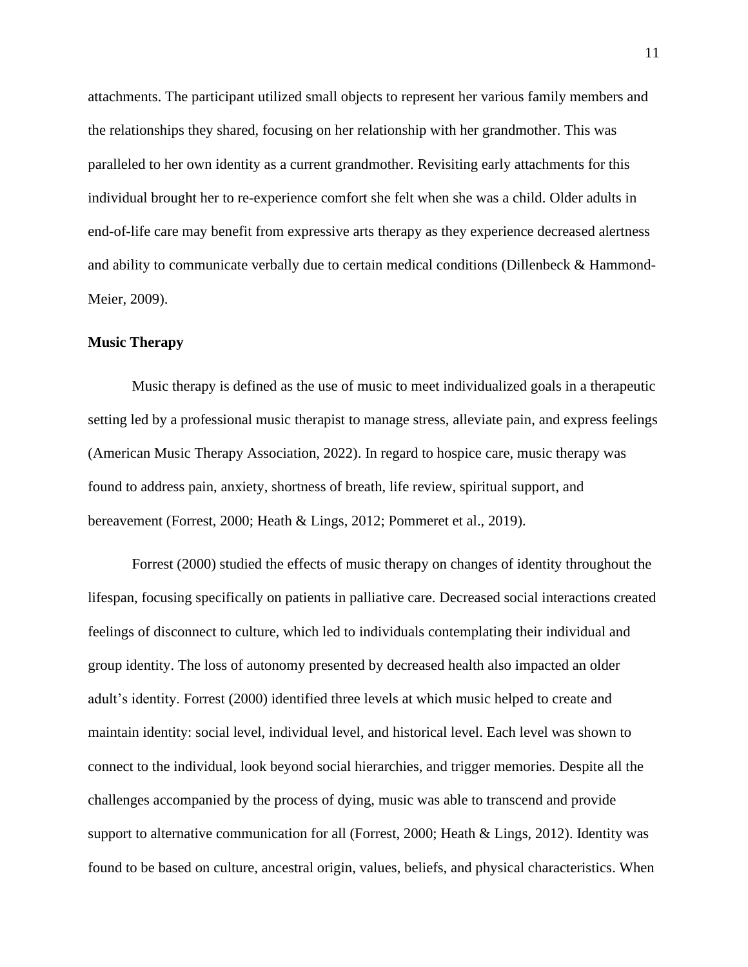attachments. The participant utilized small objects to represent her various family members and the relationships they shared, focusing on her relationship with her grandmother. This was paralleled to her own identity as a current grandmother. Revisiting early attachments for this individual brought her to re-experience comfort she felt when she was a child. Older adults in end-of-life care may benefit from expressive arts therapy as they experience decreased alertness and ability to communicate verbally due to certain medical conditions (Dillenbeck & Hammond-Meier, 2009).

#### **Music Therapy**

Music therapy is defined as the use of music to meet individualized goals in a therapeutic setting led by a professional music therapist to manage stress, alleviate pain, and express feelings (American Music Therapy Association, 2022). In regard to hospice care, music therapy was found to address pain, anxiety, shortness of breath, life review, spiritual support, and bereavement (Forrest, 2000; Heath & Lings, 2012; Pommeret et al., 2019).

Forrest (2000) studied the effects of music therapy on changes of identity throughout the lifespan, focusing specifically on patients in palliative care. Decreased social interactions created feelings of disconnect to culture, which led to individuals contemplating their individual and group identity. The loss of autonomy presented by decreased health also impacted an older adult's identity. Forrest (2000) identified three levels at which music helped to create and maintain identity: social level, individual level, and historical level. Each level was shown to connect to the individual, look beyond social hierarchies, and trigger memories. Despite all the challenges accompanied by the process of dying, music was able to transcend and provide support to alternative communication for all (Forrest, 2000; Heath & Lings, 2012). Identity was found to be based on culture, ancestral origin, values, beliefs, and physical characteristics. When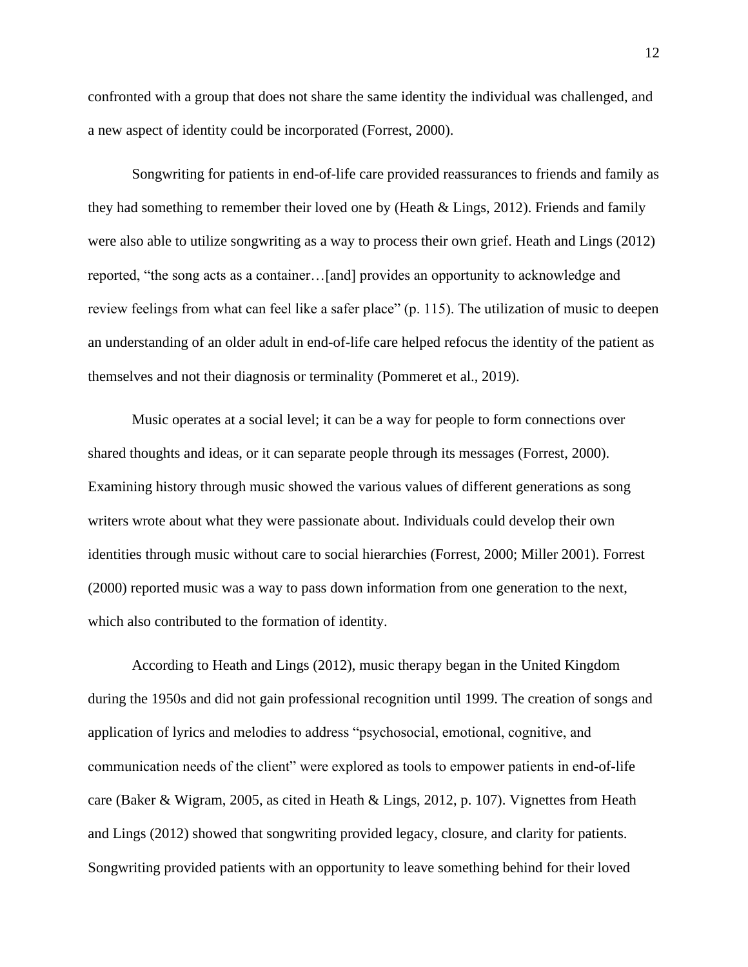confronted with a group that does not share the same identity the individual was challenged, and a new aspect of identity could be incorporated (Forrest, 2000).

Songwriting for patients in end-of-life care provided reassurances to friends and family as they had something to remember their loved one by (Heath & Lings, 2012). Friends and family were also able to utilize songwriting as a way to process their own grief. Heath and Lings (2012) reported, "the song acts as a container…[and] provides an opportunity to acknowledge and review feelings from what can feel like a safer place" (p. 115). The utilization of music to deepen an understanding of an older adult in end-of-life care helped refocus the identity of the patient as themselves and not their diagnosis or terminality (Pommeret et al., 2019).

Music operates at a social level; it can be a way for people to form connections over shared thoughts and ideas, or it can separate people through its messages (Forrest, 2000). Examining history through music showed the various values of different generations as song writers wrote about what they were passionate about. Individuals could develop their own identities through music without care to social hierarchies (Forrest, 2000; Miller 2001). Forrest (2000) reported music was a way to pass down information from one generation to the next, which also contributed to the formation of identity.

According to Heath and Lings (2012), music therapy began in the United Kingdom during the 1950s and did not gain professional recognition until 1999. The creation of songs and application of lyrics and melodies to address "psychosocial, emotional, cognitive, and communication needs of the client" were explored as tools to empower patients in end-of-life care (Baker & Wigram, 2005, as cited in Heath & Lings, 2012, p. 107). Vignettes from Heath and Lings (2012) showed that songwriting provided legacy, closure, and clarity for patients. Songwriting provided patients with an opportunity to leave something behind for their loved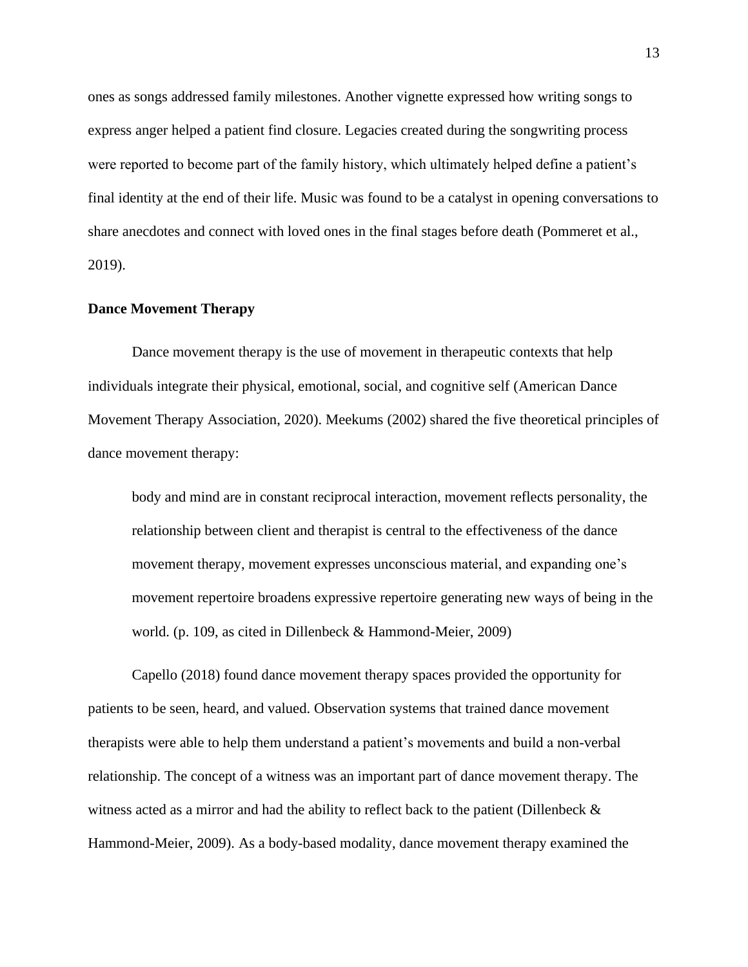ones as songs addressed family milestones. Another vignette expressed how writing songs to express anger helped a patient find closure. Legacies created during the songwriting process were reported to become part of the family history, which ultimately helped define a patient's final identity at the end of their life. Music was found to be a catalyst in opening conversations to share anecdotes and connect with loved ones in the final stages before death (Pommeret et al., 2019).

#### **Dance Movement Therapy**

Dance movement therapy is the use of movement in therapeutic contexts that help individuals integrate their physical, emotional, social, and cognitive self (American Dance Movement Therapy Association, 2020). Meekums (2002) shared the five theoretical principles of dance movement therapy:

body and mind are in constant reciprocal interaction, movement reflects personality, the relationship between client and therapist is central to the effectiveness of the dance movement therapy, movement expresses unconscious material, and expanding one's movement repertoire broadens expressive repertoire generating new ways of being in the world. (p. 109, as cited in Dillenbeck & Hammond-Meier, 2009)

Capello (2018) found dance movement therapy spaces provided the opportunity for patients to be seen, heard, and valued. Observation systems that trained dance movement therapists were able to help them understand a patient's movements and build a non-verbal relationship. The concept of a witness was an important part of dance movement therapy. The witness acted as a mirror and had the ability to reflect back to the patient (Dillenbeck & Hammond-Meier, 2009). As a body-based modality, dance movement therapy examined the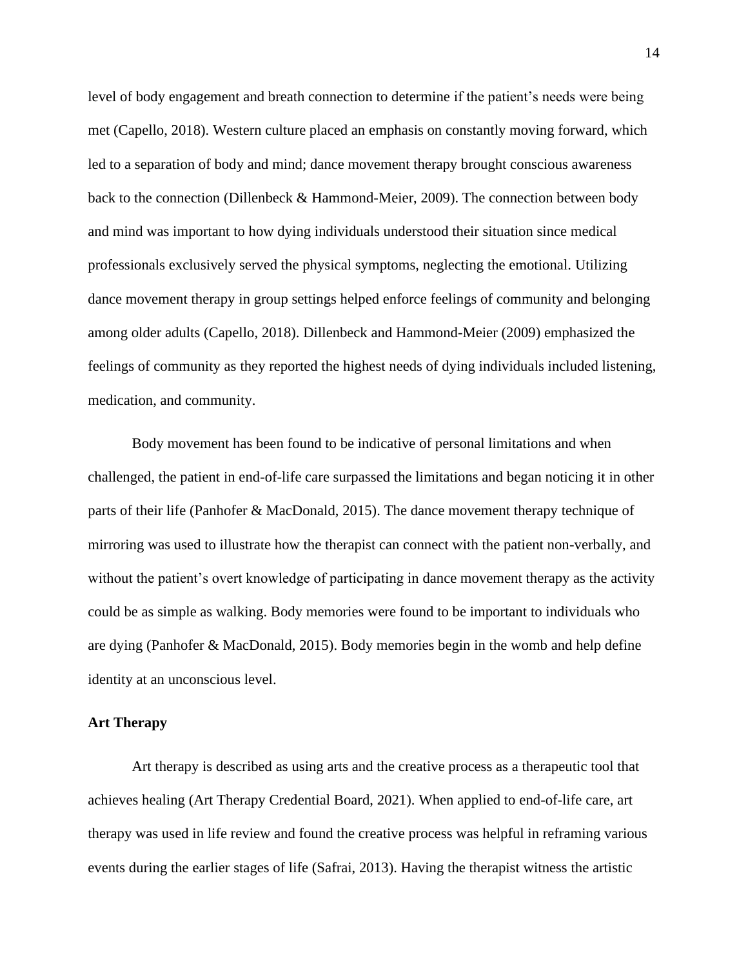level of body engagement and breath connection to determine if the patient's needs were being met (Capello, 2018). Western culture placed an emphasis on constantly moving forward, which led to a separation of body and mind; dance movement therapy brought conscious awareness back to the connection (Dillenbeck & Hammond-Meier, 2009). The connection between body and mind was important to how dying individuals understood their situation since medical professionals exclusively served the physical symptoms, neglecting the emotional. Utilizing dance movement therapy in group settings helped enforce feelings of community and belonging among older adults (Capello, 2018). Dillenbeck and Hammond-Meier (2009) emphasized the feelings of community as they reported the highest needs of dying individuals included listening, medication, and community.

Body movement has been found to be indicative of personal limitations and when challenged, the patient in end-of-life care surpassed the limitations and began noticing it in other parts of their life (Panhofer & MacDonald, 2015). The dance movement therapy technique of mirroring was used to illustrate how the therapist can connect with the patient non-verbally, and without the patient's overt knowledge of participating in dance movement therapy as the activity could be as simple as walking. Body memories were found to be important to individuals who are dying (Panhofer & MacDonald, 2015). Body memories begin in the womb and help define identity at an unconscious level.

#### **Art Therapy**

Art therapy is described as using arts and the creative process as a therapeutic tool that achieves healing (Art Therapy Credential Board, 2021). When applied to end-of-life care, art therapy was used in life review and found the creative process was helpful in reframing various events during the earlier stages of life (Safrai, 2013). Having the therapist witness the artistic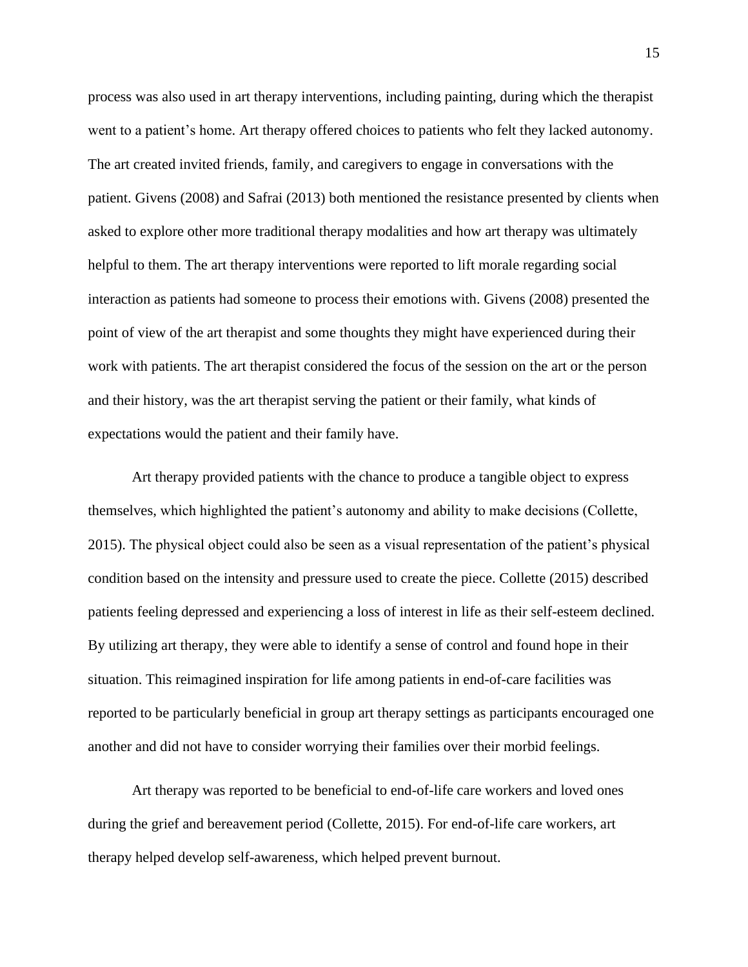process was also used in art therapy interventions, including painting, during which the therapist went to a patient's home. Art therapy offered choices to patients who felt they lacked autonomy. The art created invited friends, family, and caregivers to engage in conversations with the patient. Givens (2008) and Safrai (2013) both mentioned the resistance presented by clients when asked to explore other more traditional therapy modalities and how art therapy was ultimately helpful to them. The art therapy interventions were reported to lift morale regarding social interaction as patients had someone to process their emotions with. Givens (2008) presented the point of view of the art therapist and some thoughts they might have experienced during their work with patients. The art therapist considered the focus of the session on the art or the person and their history, was the art therapist serving the patient or their family, what kinds of expectations would the patient and their family have.

Art therapy provided patients with the chance to produce a tangible object to express themselves, which highlighted the patient's autonomy and ability to make decisions (Collette, 2015). The physical object could also be seen as a visual representation of the patient's physical condition based on the intensity and pressure used to create the piece. Collette (2015) described patients feeling depressed and experiencing a loss of interest in life as their self-esteem declined. By utilizing art therapy, they were able to identify a sense of control and found hope in their situation. This reimagined inspiration for life among patients in end-of-care facilities was reported to be particularly beneficial in group art therapy settings as participants encouraged one another and did not have to consider worrying their families over their morbid feelings.

Art therapy was reported to be beneficial to end-of-life care workers and loved ones during the grief and bereavement period (Collette, 2015). For end-of-life care workers, art therapy helped develop self-awareness, which helped prevent burnout.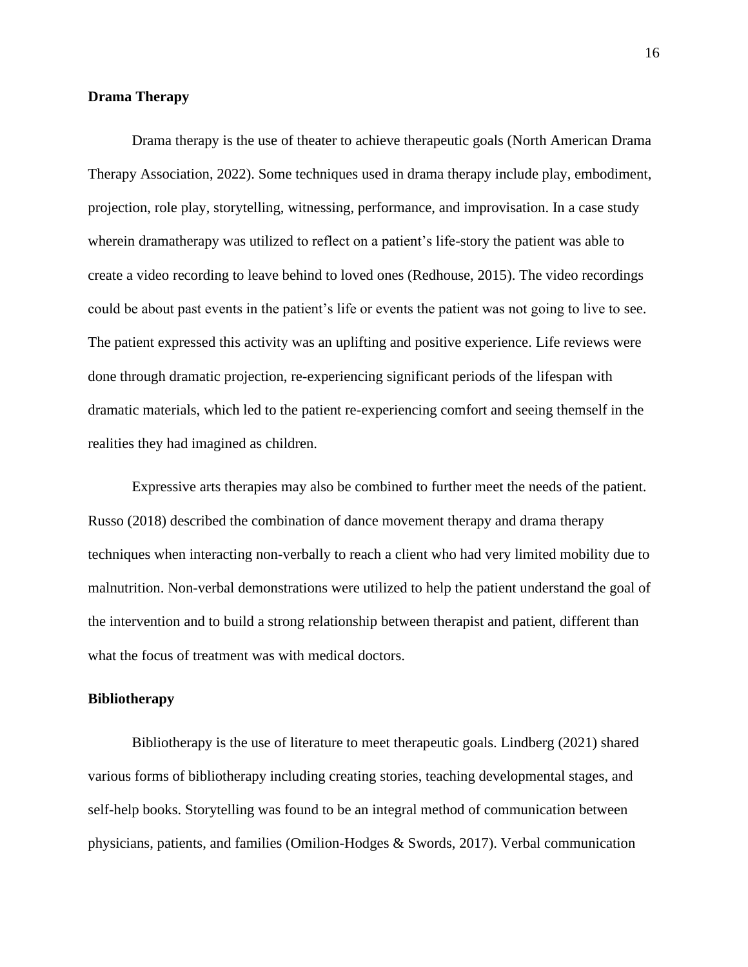#### **Drama Therapy**

Drama therapy is the use of theater to achieve therapeutic goals (North American Drama Therapy Association, 2022). Some techniques used in drama therapy include play, embodiment, projection, role play, storytelling, witnessing, performance, and improvisation. In a case study wherein dramatherapy was utilized to reflect on a patient's life-story the patient was able to create a video recording to leave behind to loved ones (Redhouse, 2015). The video recordings could be about past events in the patient's life or events the patient was not going to live to see. The patient expressed this activity was an uplifting and positive experience. Life reviews were done through dramatic projection, re-experiencing significant periods of the lifespan with dramatic materials, which led to the patient re-experiencing comfort and seeing themself in the realities they had imagined as children.

Expressive arts therapies may also be combined to further meet the needs of the patient. Russo (2018) described the combination of dance movement therapy and drama therapy techniques when interacting non-verbally to reach a client who had very limited mobility due to malnutrition. Non-verbal demonstrations were utilized to help the patient understand the goal of the intervention and to build a strong relationship between therapist and patient, different than what the focus of treatment was with medical doctors.

#### **Bibliotherapy**

Bibliotherapy is the use of literature to meet therapeutic goals. Lindberg (2021) shared various forms of bibliotherapy including creating stories, teaching developmental stages, and self-help books. Storytelling was found to be an integral method of communication between physicians, patients, and families (Omilion-Hodges & Swords, 2017). Verbal communication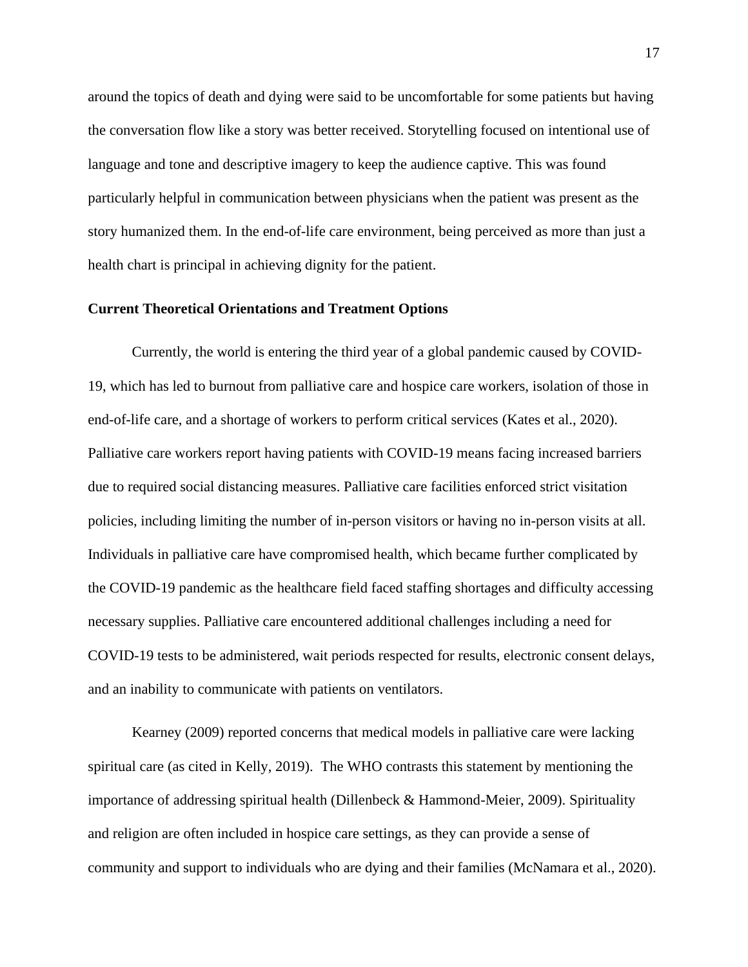around the topics of death and dying were said to be uncomfortable for some patients but having the conversation flow like a story was better received. Storytelling focused on intentional use of language and tone and descriptive imagery to keep the audience captive. This was found particularly helpful in communication between physicians when the patient was present as the story humanized them. In the end-of-life care environment, being perceived as more than just a health chart is principal in achieving dignity for the patient.

#### **Current Theoretical Orientations and Treatment Options**

Currently, the world is entering the third year of a global pandemic caused by COVID-19, which has led to burnout from palliative care and hospice care workers, isolation of those in end-of-life care, and a shortage of workers to perform critical services (Kates et al., 2020). Palliative care workers report having patients with COVID-19 means facing increased barriers due to required social distancing measures. Palliative care facilities enforced strict visitation policies, including limiting the number of in-person visitors or having no in-person visits at all. Individuals in palliative care have compromised health, which became further complicated by the COVID-19 pandemic as the healthcare field faced staffing shortages and difficulty accessing necessary supplies. Palliative care encountered additional challenges including a need for COVID-19 tests to be administered, wait periods respected for results, electronic consent delays, and an inability to communicate with patients on ventilators.

Kearney (2009) reported concerns that medical models in palliative care were lacking spiritual care (as cited in Kelly, 2019). The WHO contrasts this statement by mentioning the importance of addressing spiritual health (Dillenbeck & Hammond-Meier, 2009). Spirituality and religion are often included in hospice care settings, as they can provide a sense of community and support to individuals who are dying and their families (McNamara et al., 2020).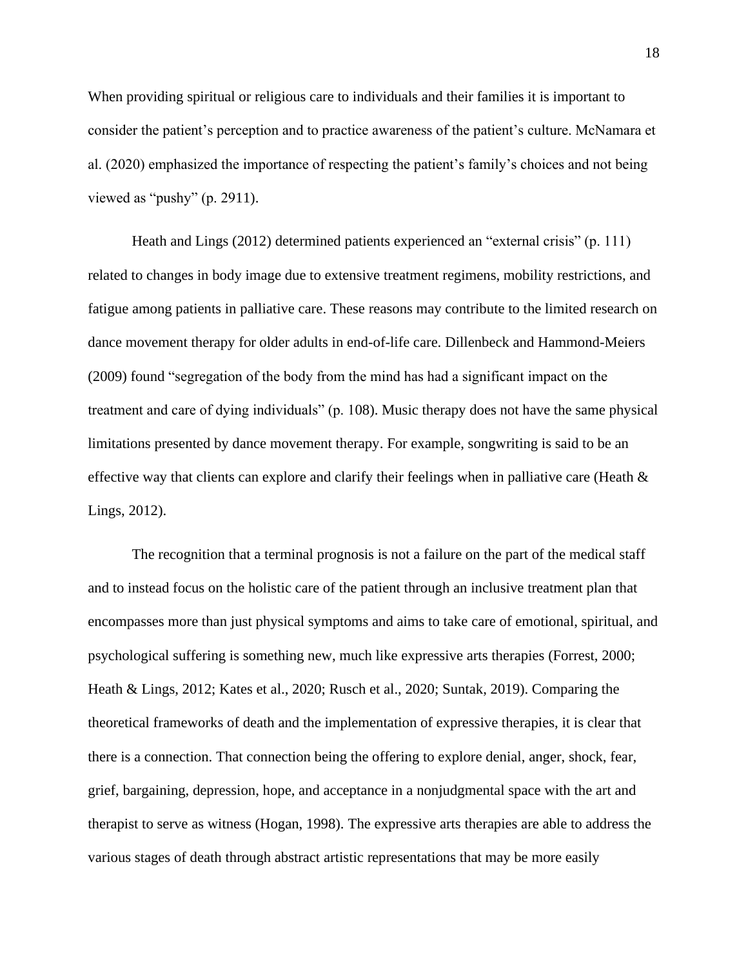When providing spiritual or religious care to individuals and their families it is important to consider the patient's perception and to practice awareness of the patient's culture. McNamara et al. (2020) emphasized the importance of respecting the patient's family's choices and not being viewed as "pushy" (p. 2911).

Heath and Lings (2012) determined patients experienced an "external crisis" (p. 111) related to changes in body image due to extensive treatment regimens, mobility restrictions, and fatigue among patients in palliative care. These reasons may contribute to the limited research on dance movement therapy for older adults in end-of-life care. Dillenbeck and Hammond-Meiers (2009) found "segregation of the body from the mind has had a significant impact on the treatment and care of dying individuals" (p. 108). Music therapy does not have the same physical limitations presented by dance movement therapy. For example, songwriting is said to be an effective way that clients can explore and clarify their feelings when in palliative care (Heath & Lings, 2012).

The recognition that a terminal prognosis is not a failure on the part of the medical staff and to instead focus on the holistic care of the patient through an inclusive treatment plan that encompasses more than just physical symptoms and aims to take care of emotional, spiritual, and psychological suffering is something new, much like expressive arts therapies (Forrest, 2000; Heath & Lings, 2012; Kates et al., 2020; Rusch et al., 2020; Suntak, 2019). Comparing the theoretical frameworks of death and the implementation of expressive therapies, it is clear that there is a connection. That connection being the offering to explore denial, anger, shock, fear, grief, bargaining, depression, hope, and acceptance in a nonjudgmental space with the art and therapist to serve as witness (Hogan, 1998). The expressive arts therapies are able to address the various stages of death through abstract artistic representations that may be more easily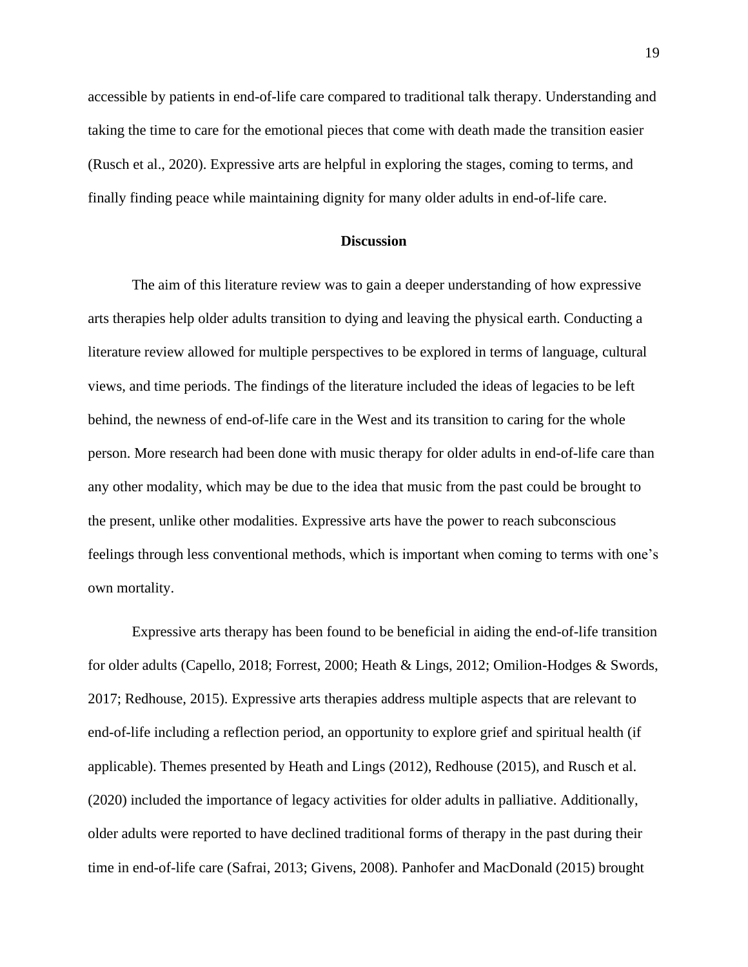accessible by patients in end-of-life care compared to traditional talk therapy. Understanding and taking the time to care for the emotional pieces that come with death made the transition easier (Rusch et al., 2020). Expressive arts are helpful in exploring the stages, coming to terms, and finally finding peace while maintaining dignity for many older adults in end-of-life care.

#### **Discussion**

The aim of this literature review was to gain a deeper understanding of how expressive arts therapies help older adults transition to dying and leaving the physical earth. Conducting a literature review allowed for multiple perspectives to be explored in terms of language, cultural views, and time periods. The findings of the literature included the ideas of legacies to be left behind, the newness of end-of-life care in the West and its transition to caring for the whole person. More research had been done with music therapy for older adults in end-of-life care than any other modality, which may be due to the idea that music from the past could be brought to the present, unlike other modalities. Expressive arts have the power to reach subconscious feelings through less conventional methods, which is important when coming to terms with one's own mortality.

Expressive arts therapy has been found to be beneficial in aiding the end-of-life transition for older adults (Capello, 2018; Forrest, 2000; Heath & Lings, 2012; Omilion-Hodges & Swords, 2017; Redhouse, 2015). Expressive arts therapies address multiple aspects that are relevant to end-of-life including a reflection period, an opportunity to explore grief and spiritual health (if applicable). Themes presented by Heath and Lings (2012), Redhouse (2015), and Rusch et al. (2020) included the importance of legacy activities for older adults in palliative. Additionally, older adults were reported to have declined traditional forms of therapy in the past during their time in end-of-life care (Safrai, 2013; Givens, 2008). Panhofer and MacDonald (2015) brought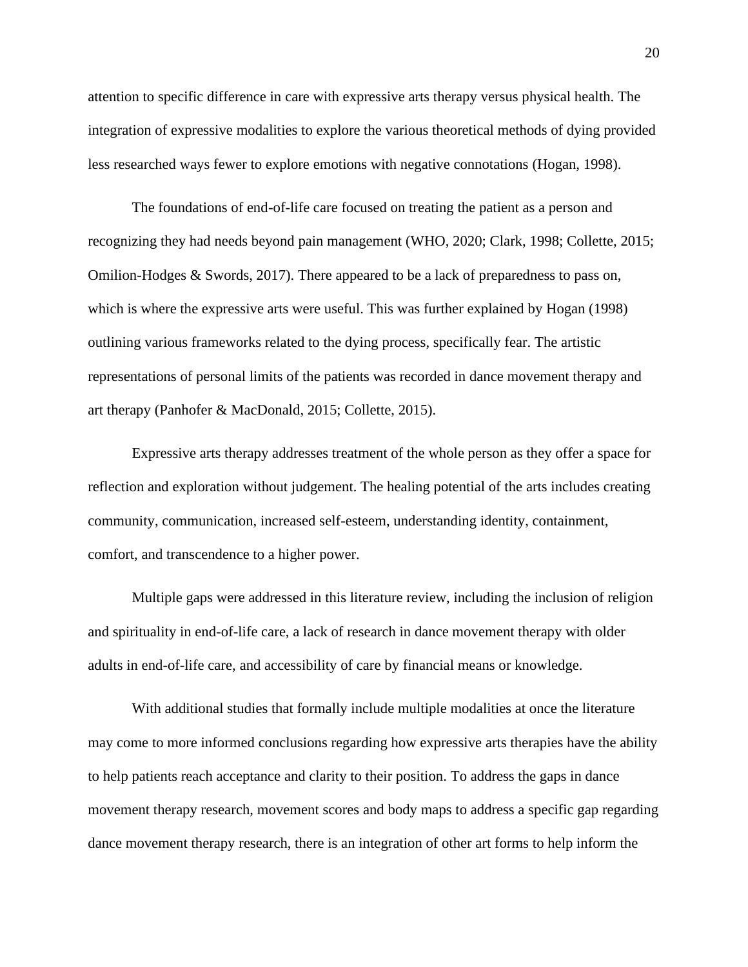attention to specific difference in care with expressive arts therapy versus physical health. The integration of expressive modalities to explore the various theoretical methods of dying provided less researched ways fewer to explore emotions with negative connotations (Hogan, 1998).

The foundations of end-of-life care focused on treating the patient as a person and recognizing they had needs beyond pain management (WHO, 2020; Clark, 1998; Collette, 2015; Omilion-Hodges & Swords, 2017). There appeared to be a lack of preparedness to pass on, which is where the expressive arts were useful. This was further explained by Hogan (1998) outlining various frameworks related to the dying process, specifically fear. The artistic representations of personal limits of the patients was recorded in dance movement therapy and art therapy (Panhofer & MacDonald, 2015; Collette, 2015).

Expressive arts therapy addresses treatment of the whole person as they offer a space for reflection and exploration without judgement. The healing potential of the arts includes creating community, communication, increased self-esteem, understanding identity, containment, comfort, and transcendence to a higher power.

Multiple gaps were addressed in this literature review, including the inclusion of religion and spirituality in end-of-life care, a lack of research in dance movement therapy with older adults in end-of-life care, and accessibility of care by financial means or knowledge.

With additional studies that formally include multiple modalities at once the literature may come to more informed conclusions regarding how expressive arts therapies have the ability to help patients reach acceptance and clarity to their position. To address the gaps in dance movement therapy research, movement scores and body maps to address a specific gap regarding dance movement therapy research, there is an integration of other art forms to help inform the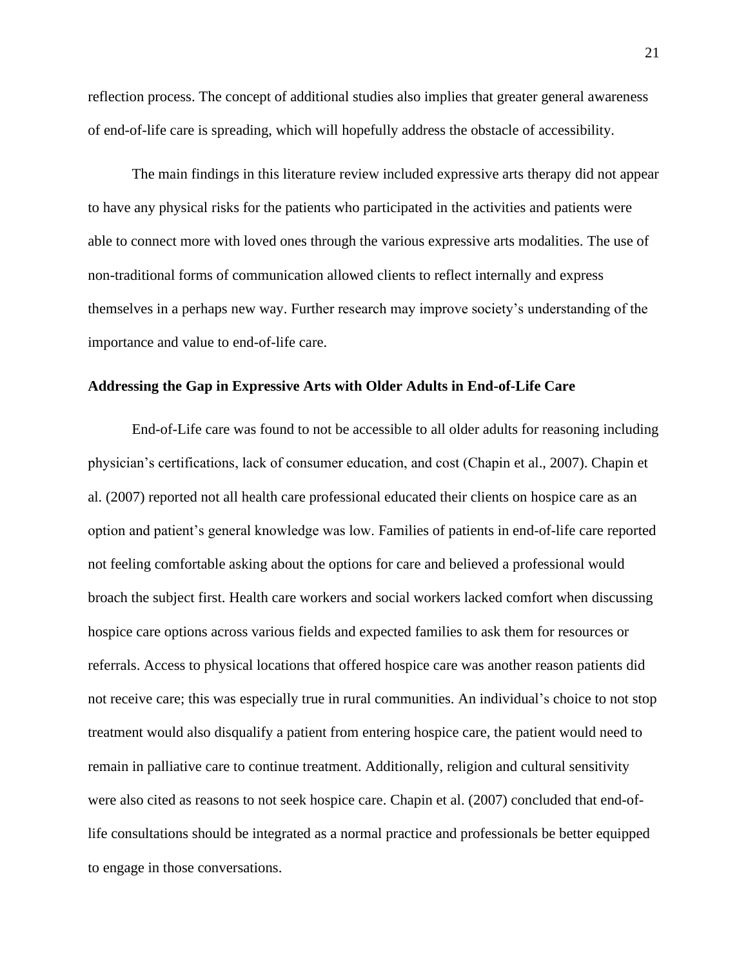reflection process. The concept of additional studies also implies that greater general awareness of end-of-life care is spreading, which will hopefully address the obstacle of accessibility.

The main findings in this literature review included expressive arts therapy did not appear to have any physical risks for the patients who participated in the activities and patients were able to connect more with loved ones through the various expressive arts modalities. The use of non-traditional forms of communication allowed clients to reflect internally and express themselves in a perhaps new way. Further research may improve society's understanding of the importance and value to end-of-life care.

#### **Addressing the Gap in Expressive Arts with Older Adults in End-of-Life Care**

End-of-Life care was found to not be accessible to all older adults for reasoning including physician's certifications, lack of consumer education, and cost (Chapin et al., 2007). Chapin et al. (2007) reported not all health care professional educated their clients on hospice care as an option and patient's general knowledge was low. Families of patients in end-of-life care reported not feeling comfortable asking about the options for care and believed a professional would broach the subject first. Health care workers and social workers lacked comfort when discussing hospice care options across various fields and expected families to ask them for resources or referrals. Access to physical locations that offered hospice care was another reason patients did not receive care; this was especially true in rural communities. An individual's choice to not stop treatment would also disqualify a patient from entering hospice care, the patient would need to remain in palliative care to continue treatment. Additionally, religion and cultural sensitivity were also cited as reasons to not seek hospice care. Chapin et al. (2007) concluded that end-oflife consultations should be integrated as a normal practice and professionals be better equipped to engage in those conversations.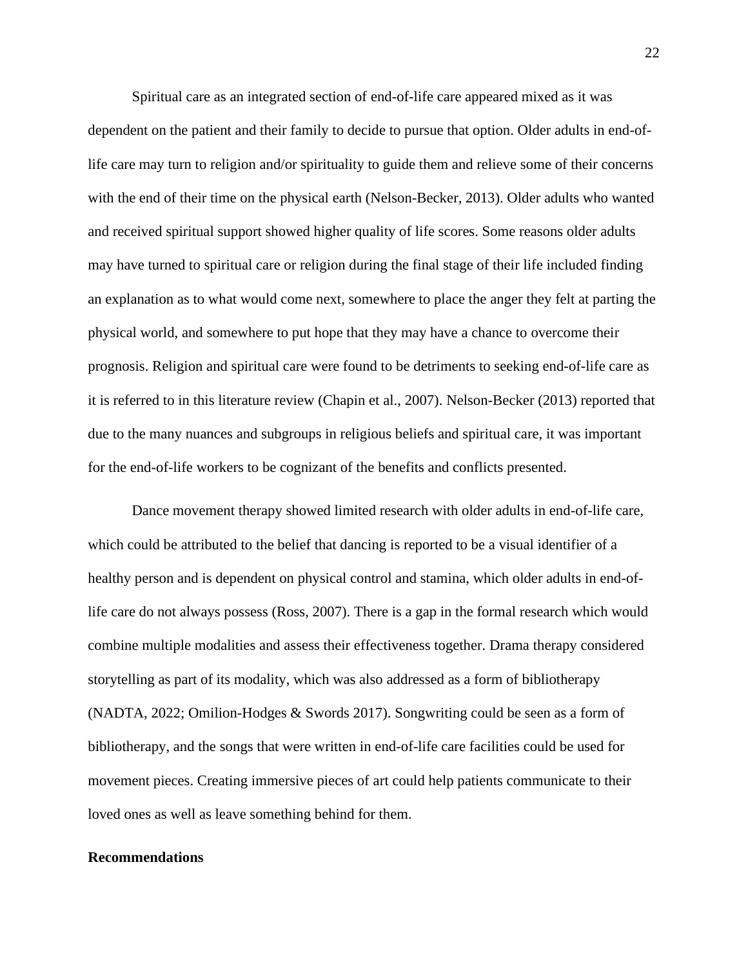Spiritual care as an integrated section of end-of-life care appeared mixed as it was dependent on the patient and their family to decide to pursue that option. Older adults in end-oflife care may turn to religion and/or spirituality to guide them and relieve some of their concerns with the end of their time on the physical earth (Nelson-Becker, 2013). Older adults who wanted and received spiritual support showed higher quality of life scores. Some reasons older adults may have turned to spiritual care or religion during the final stage of their life included finding an explanation as to what would come next, somewhere to place the anger they felt at parting the physical world, and somewhere to put hope that they may have a chance to overcome their prognosis. Religion and spiritual care were found to be detriments to seeking end-of-life care as it is referred to in this literature review (Chapin et al., 2007). Nelson-Becker (2013) reported that due to the many nuances and subgroups in religious beliefs and spiritual care, it was important for the end-of-life workers to be cognizant of the benefits and conflicts presented.

Dance movement therapy showed limited research with older adults in end-of-life care, which could be attributed to the belief that dancing is reported to be a visual identifier of a healthy person and is dependent on physical control and stamina, which older adults in end-oflife care do not always possess (Ross, 2007). There is a gap in the formal research which would combine multiple modalities and assess their effectiveness together. Drama therapy considered storytelling as part of its modality, which was also addressed as a form of bibliotherapy (NADTA, 2022; Omilion-Hodges & Swords 2017). Songwriting could be seen as a form of bibliotherapy, and the songs that were written in end-of-life care facilities could be used for movement pieces. Creating immersive pieces of art could help patients communicate to their loved ones as well as leave something behind for them.

#### **Recommendations**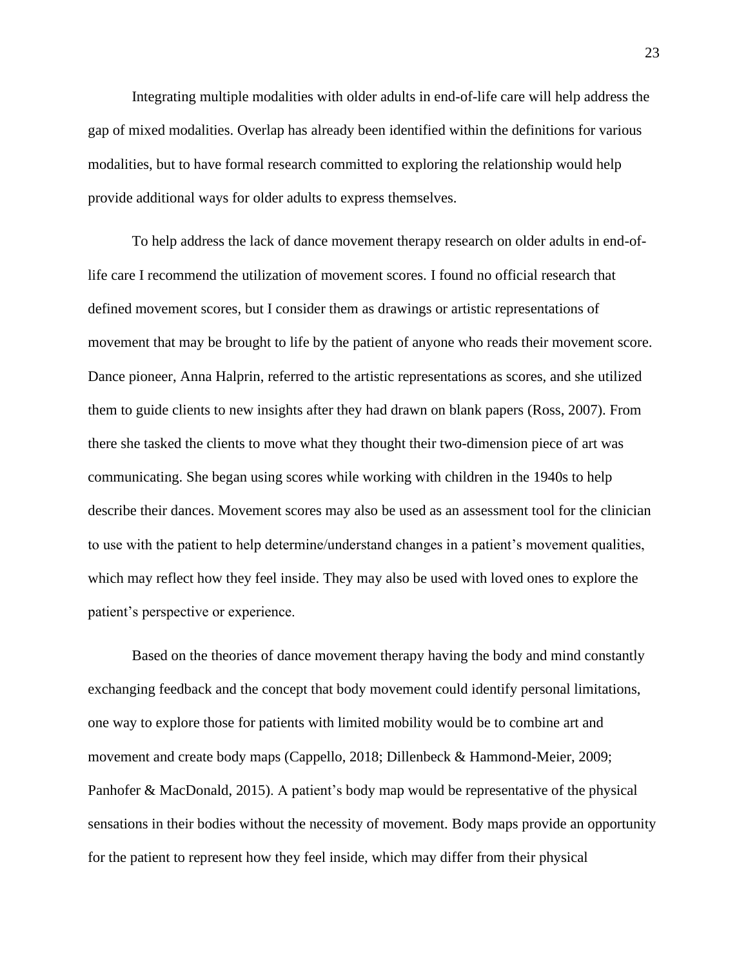Integrating multiple modalities with older adults in end-of-life care will help address the gap of mixed modalities. Overlap has already been identified within the definitions for various modalities, but to have formal research committed to exploring the relationship would help provide additional ways for older adults to express themselves.

To help address the lack of dance movement therapy research on older adults in end-oflife care I recommend the utilization of movement scores. I found no official research that defined movement scores, but I consider them as drawings or artistic representations of movement that may be brought to life by the patient of anyone who reads their movement score. Dance pioneer, Anna Halprin, referred to the artistic representations as scores, and she utilized them to guide clients to new insights after they had drawn on blank papers (Ross, 2007). From there she tasked the clients to move what they thought their two-dimension piece of art was communicating. She began using scores while working with children in the 1940s to help describe their dances. Movement scores may also be used as an assessment tool for the clinician to use with the patient to help determine/understand changes in a patient's movement qualities, which may reflect how they feel inside. They may also be used with loved ones to explore the patient's perspective or experience.

Based on the theories of dance movement therapy having the body and mind constantly exchanging feedback and the concept that body movement could identify personal limitations, one way to explore those for patients with limited mobility would be to combine art and movement and create body maps (Cappello, 2018; Dillenbeck & Hammond-Meier, 2009; Panhofer & MacDonald, 2015). A patient's body map would be representative of the physical sensations in their bodies without the necessity of movement. Body maps provide an opportunity for the patient to represent how they feel inside, which may differ from their physical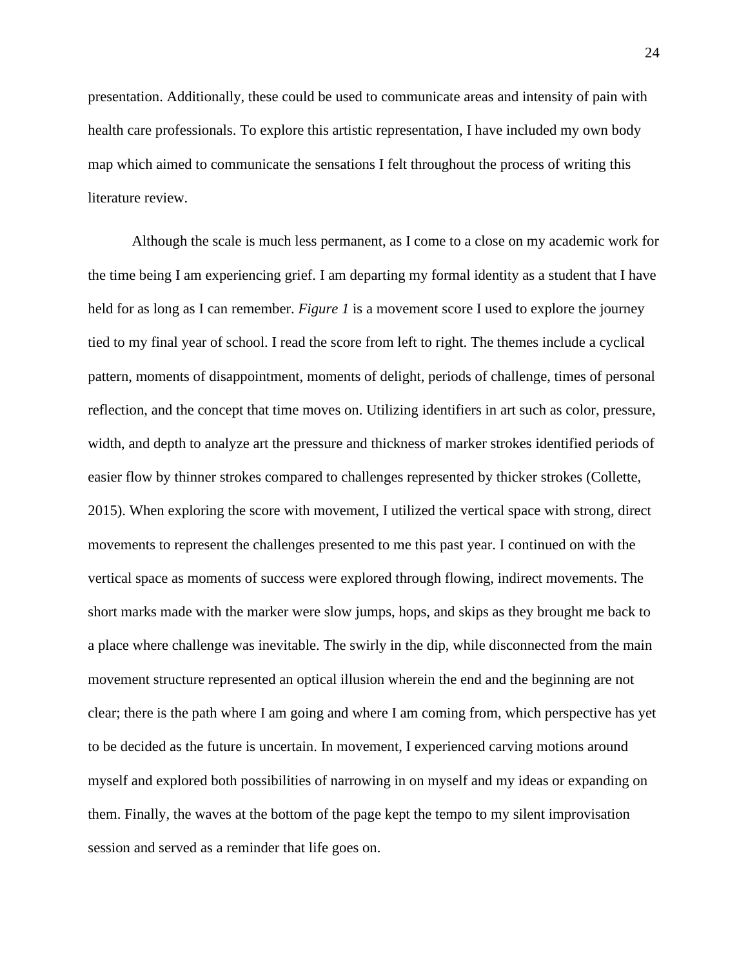presentation. Additionally, these could be used to communicate areas and intensity of pain with health care professionals. To explore this artistic representation, I have included my own body map which aimed to communicate the sensations I felt throughout the process of writing this literature review.

Although the scale is much less permanent, as I come to a close on my academic work for the time being I am experiencing grief. I am departing my formal identity as a student that I have held for as long as I can remember. *Figure 1* is a movement score I used to explore the journey tied to my final year of school. I read the score from left to right. The themes include a cyclical pattern, moments of disappointment, moments of delight, periods of challenge, times of personal reflection, and the concept that time moves on. Utilizing identifiers in art such as color, pressure, width, and depth to analyze art the pressure and thickness of marker strokes identified periods of easier flow by thinner strokes compared to challenges represented by thicker strokes (Collette, 2015). When exploring the score with movement, I utilized the vertical space with strong, direct movements to represent the challenges presented to me this past year. I continued on with the vertical space as moments of success were explored through flowing, indirect movements. The short marks made with the marker were slow jumps, hops, and skips as they brought me back to a place where challenge was inevitable. The swirly in the dip, while disconnected from the main movement structure represented an optical illusion wherein the end and the beginning are not clear; there is the path where I am going and where I am coming from, which perspective has yet to be decided as the future is uncertain. In movement, I experienced carving motions around myself and explored both possibilities of narrowing in on myself and my ideas or expanding on them. Finally, the waves at the bottom of the page kept the tempo to my silent improvisation session and served as a reminder that life goes on.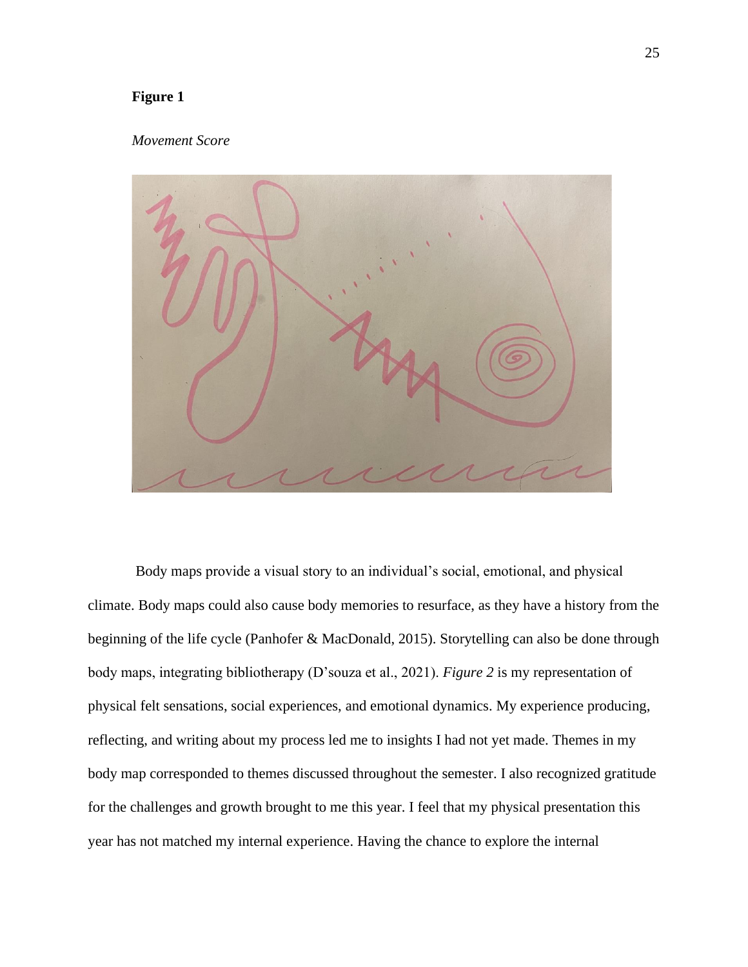### **Figure 1**

#### *Movement Score*



Body maps provide a visual story to an individual's social, emotional, and physical climate. Body maps could also cause body memories to resurface, as they have a history from the beginning of the life cycle (Panhofer & MacDonald, 2015). Storytelling can also be done through body maps, integrating bibliotherapy (D'souza et al., 2021). *Figure 2* is my representation of physical felt sensations, social experiences, and emotional dynamics. My experience producing, reflecting, and writing about my process led me to insights I had not yet made. Themes in my body map corresponded to themes discussed throughout the semester. I also recognized gratitude for the challenges and growth brought to me this year. I feel that my physical presentation this year has not matched my internal experience. Having the chance to explore the internal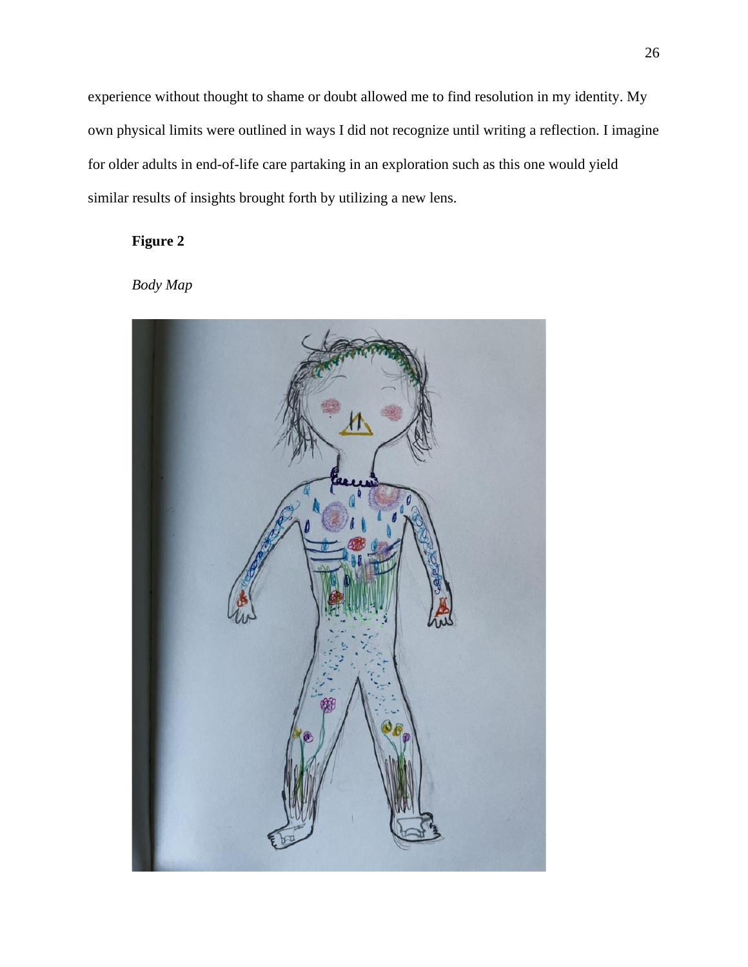experience without thought to shame or doubt allowed me to find resolution in my identity. My own physical limits were outlined in ways I did not recognize until writing a reflection. I imagine for older adults in end-of-life care partaking in an exploration such as this one would yield similar results of insights brought forth by utilizing a new lens.

## **Figure 2**

*Body Map*

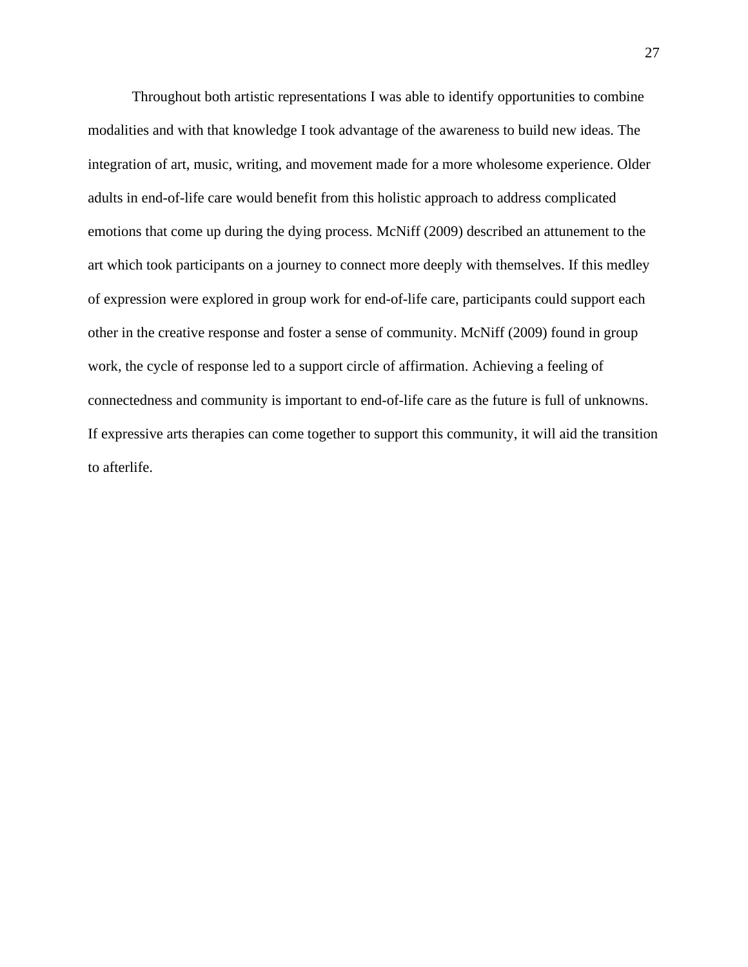Throughout both artistic representations I was able to identify opportunities to combine modalities and with that knowledge I took advantage of the awareness to build new ideas. The integration of art, music, writing, and movement made for a more wholesome experience. Older adults in end-of-life care would benefit from this holistic approach to address complicated emotions that come up during the dying process. McNiff (2009) described an attunement to the art which took participants on a journey to connect more deeply with themselves. If this medley of expression were explored in group work for end-of-life care, participants could support each other in the creative response and foster a sense of community. McNiff (2009) found in group work, the cycle of response led to a support circle of affirmation. Achieving a feeling of connectedness and community is important to end-of-life care as the future is full of unknowns. If expressive arts therapies can come together to support this community, it will aid the transition to afterlife.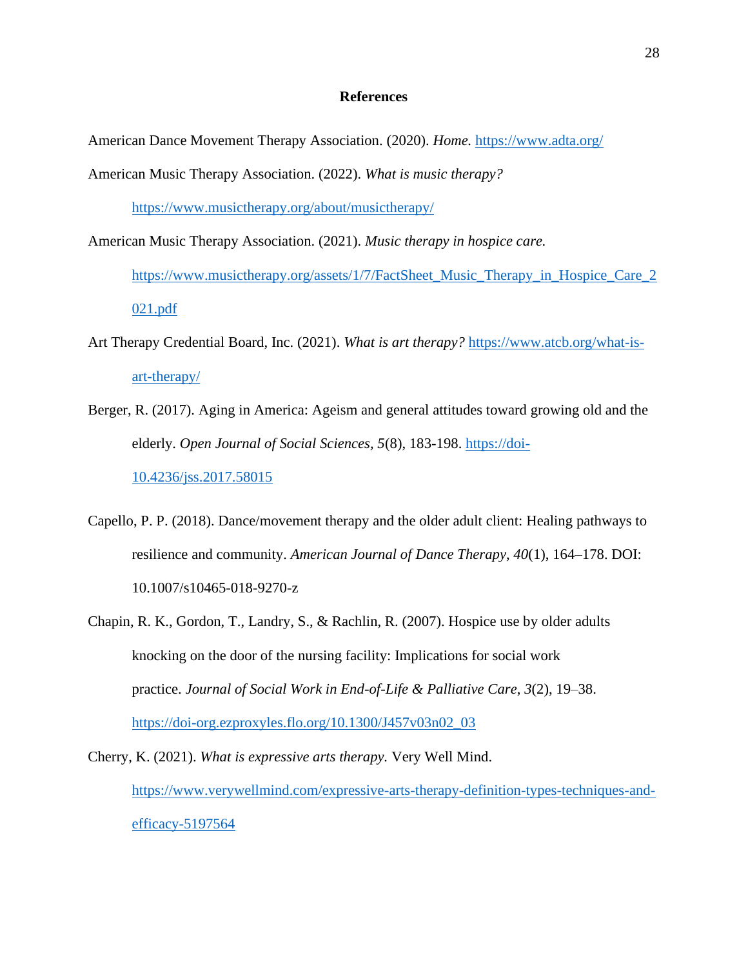#### **References**

American Dance Movement Therapy Association. (2020). *Home.* <https://www.adta.org/>

American Music Therapy Association. (2022). *What is music therapy?* 

<https://www.musictherapy.org/about/musictherapy/>

American Music Therapy Association. (2021). *Music therapy in hospice care.*  [https://www.musictherapy.org/assets/1/7/FactSheet\\_Music\\_Therapy\\_in\\_Hospice\\_Care\\_2](https://www.musictherapy.org/assets/1/7/FactSheet_Music_Therapy_in_Hospice_Care_2021.pdf) [021.pdf](https://www.musictherapy.org/assets/1/7/FactSheet_Music_Therapy_in_Hospice_Care_2021.pdf)

- Art Therapy Credential Board, Inc. (2021). *What is art therapy?* [https://www.atcb.org/what-is](https://www.atcb.org/what-is-art-therapy/)[art-therapy/](https://www.atcb.org/what-is-art-therapy/)
- Berger, R. (2017). Aging in America: Ageism and general attitudes toward growing old and the elderly. *Open Journal of Social Sciences, 5*(8), 183-198. [https://doi-](https://doi-10.4236/jss.2017.58015)[10.4236/jss.2017.58015](https://doi-10.4236/jss.2017.58015)
- Capello, P. P. (2018). Dance/movement therapy and the older adult client: Healing pathways to resilience and community. *American Journal of Dance Therapy*, *40*(1), 164–178. DOI: 10.1007/s10465-018-9270-z
- Chapin, R. K., Gordon, T., Landry, S., & Rachlin, R. (2007). Hospice use by older adults knocking on the door of the nursing facility: Implications for social work practice. *Journal of Social Work in End-of-Life & Palliative Care*, *3*(2), 19–38. [https://doi-org.ezproxyles.flo.org/10.1300/J457v03n02\\_03](https://doi-org.ezproxyles.flo.org/10.1300/J457v03n02_03)

Cherry, K. (2021). *What is expressive arts therapy.* Very Well Mind. [https://www.verywellmind.com/expressive-arts-therapy-definition-types-techniques-and](https://www.verywellmind.com/expressive-arts-therapy-definition-types-techniques-and-efficacy-5197564)[efficacy-5197564](https://www.verywellmind.com/expressive-arts-therapy-definition-types-techniques-and-efficacy-5197564)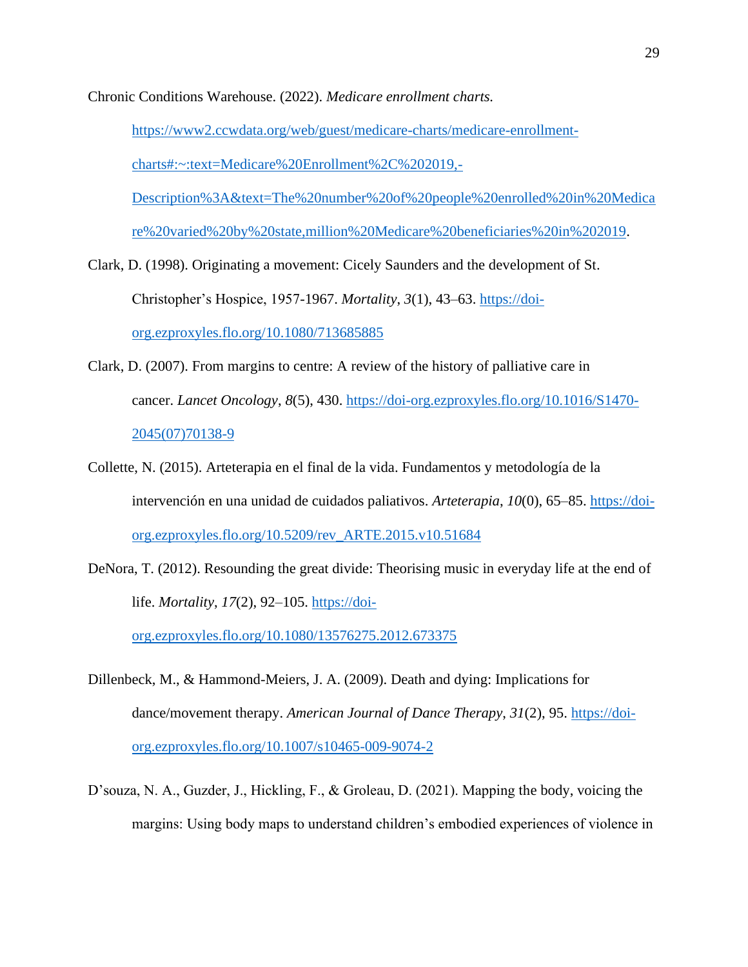Chronic Conditions Warehouse. (2022). *Medicare enrollment charts.* 

[https://www2.ccwdata.org/web/guest/medicare-charts/medicare-enrollment](https://www2.ccwdata.org/web/guest/medicare-charts/medicare-enrollment-charts#:~:text=Medicare%20Enrollment%2C%202019,-Description%3A&text=The%20number%20of%20people%20enrolled%20in%20Medicare%20varied%20by%20state,million%20Medicare%20beneficiaries%20in%202019)[charts#:~:text=Medicare%20Enrollment%2C%202019,-](https://www2.ccwdata.org/web/guest/medicare-charts/medicare-enrollment-charts#:~:text=Medicare%20Enrollment%2C%202019,-Description%3A&text=The%20number%20of%20people%20enrolled%20in%20Medicare%20varied%20by%20state,million%20Medicare%20beneficiaries%20in%202019) [Description%3A&text=The%20number%20of%20people%20enrolled%20in%20Medica](https://www2.ccwdata.org/web/guest/medicare-charts/medicare-enrollment-charts#:~:text=Medicare%20Enrollment%2C%202019,-Description%3A&text=The%20number%20of%20people%20enrolled%20in%20Medicare%20varied%20by%20state,million%20Medicare%20beneficiaries%20in%202019)

[re%20varied%20by%20state,million%20Medicare%20beneficiaries%20in%202019.](https://www2.ccwdata.org/web/guest/medicare-charts/medicare-enrollment-charts#:~:text=Medicare%20Enrollment%2C%202019,-Description%3A&text=The%20number%20of%20people%20enrolled%20in%20Medicare%20varied%20by%20state,million%20Medicare%20beneficiaries%20in%202019)

- Clark, D. (1998). Originating a movement: Cicely Saunders and the development of St. Christopher's Hospice, 1957-1967. *Mortality*, *3*(1), 43–63. [https://doi](https://doi-org.ezproxyles.flo.org/10.1080/713685885)[org.ezproxyles.flo.org/10.1080/713685885](https://doi-org.ezproxyles.flo.org/10.1080/713685885)
- Clark, D. (2007). From margins to centre: A review of the history of palliative care in cancer. *Lancet Oncology*, *8*(5), 430. [https://doi-org.ezproxyles.flo.org/10.1016/S1470-](https://doi-org.ezproxyles.flo.org/10.1016/S1470-2045(07)70138-9) [2045\(07\)70138-9](https://doi-org.ezproxyles.flo.org/10.1016/S1470-2045(07)70138-9)
- Collette, N. (2015). Arteterapia en el final de la vida. Fundamentos y metodología de la intervención en una unidad de cuidados paliativos. *Arteterapia*, *10*(0), 65–85. [https://doi](https://doi-org.ezproxyles.flo.org/10.5209/rev_ARTE.2015.v10.51684)[org.ezproxyles.flo.org/10.5209/rev\\_ARTE.2015.v10.51684](https://doi-org.ezproxyles.flo.org/10.5209/rev_ARTE.2015.v10.51684)
- DeNora, T. (2012). Resounding the great divide: Theorising music in everyday life at the end of life. *Mortality*, *17*(2), 92–105. [https://doi-](https://doi-org.ezproxyles.flo.org/10.1080/13576275.2012.673375)

[org.ezproxyles.flo.org/10.1080/13576275.2012.673375](https://doi-org.ezproxyles.flo.org/10.1080/13576275.2012.673375)

- Dillenbeck, M., & Hammond-Meiers, J. A. (2009). Death and dying: Implications for dance/movement therapy. *American Journal of Dance Therapy*, *31*(2), 95. [https://doi](https://doi-org.ezproxyles.flo.org/10.1007/s10465-009-9074-2)[org.ezproxyles.flo.org/10.1007/s10465-009-9074-2](https://doi-org.ezproxyles.flo.org/10.1007/s10465-009-9074-2)
- D'souza, N. A., Guzder, J., Hickling, F., & Groleau, D. (2021). Mapping the body, voicing the margins: Using body maps to understand children's embodied experiences of violence in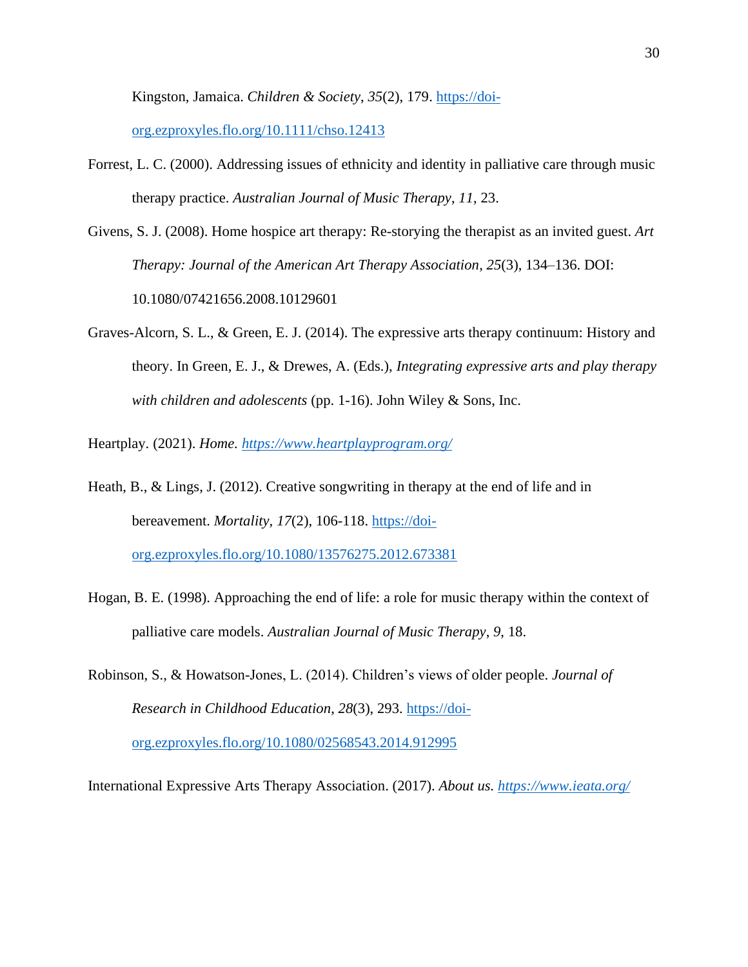Kingston, Jamaica. *Children & Society*, *35*(2), 179. [https://doi-](https://doi-org.ezproxyles.flo.org/10.1111/chso.12413)

[org.ezproxyles.flo.org/10.1111/chso.12413](https://doi-org.ezproxyles.flo.org/10.1111/chso.12413)

- Forrest, L. C. (2000). Addressing issues of ethnicity and identity in palliative care through music therapy practice. *Australian Journal of Music Therapy*, *11*, 23.
- Givens, S. J. (2008). Home hospice art therapy: Re-storying the therapist as an invited guest. *Art Therapy: Journal of the American Art Therapy Association*, *25*(3), 134–136. DOI: 10.1080/07421656.2008.10129601
- Graves-Alcorn, S. L., & Green, E. J. (2014). The expressive arts therapy continuum: History and theory. In Green, E. J., & Drewes, A. (Eds.), *Integrating expressive arts and play therapy with children and adolescents* (pp. 1-16). John Wiley & Sons, Inc.
- Heartplay. (2021). *Home.<https://www.heartplayprogram.org/>*

Heath, B., & Lings, J. (2012). Creative songwriting in therapy at the end of life and in bereavement. *Mortality, 17*(2), 106-118. [https://doi](https://doi-org.ezproxyles.flo.org/10.1080/13576275.2012.673381)[org.ezproxyles.flo.org/10.1080/13576275.2012.673381](https://doi-org.ezproxyles.flo.org/10.1080/13576275.2012.673381)

- Hogan, B. E. (1998). Approaching the end of life: a role for music therapy within the context of palliative care models. *Australian Journal of Music Therapy*, *9*, 18.
- Robinson, S., & Howatson-Jones, L. (2014). Children's views of older people. *Journal of Research in Childhood Education*, *28*(3), 293. [https://doi-](https://doi-org.ezproxyles.flo.org/10.1080/02568543.2014.912995)

[org.ezproxyles.flo.org/10.1080/02568543.2014.912995](https://doi-org.ezproxyles.flo.org/10.1080/02568543.2014.912995)

International Expressive Arts Therapy Association. (2017). *About us.<https://www.ieata.org/>*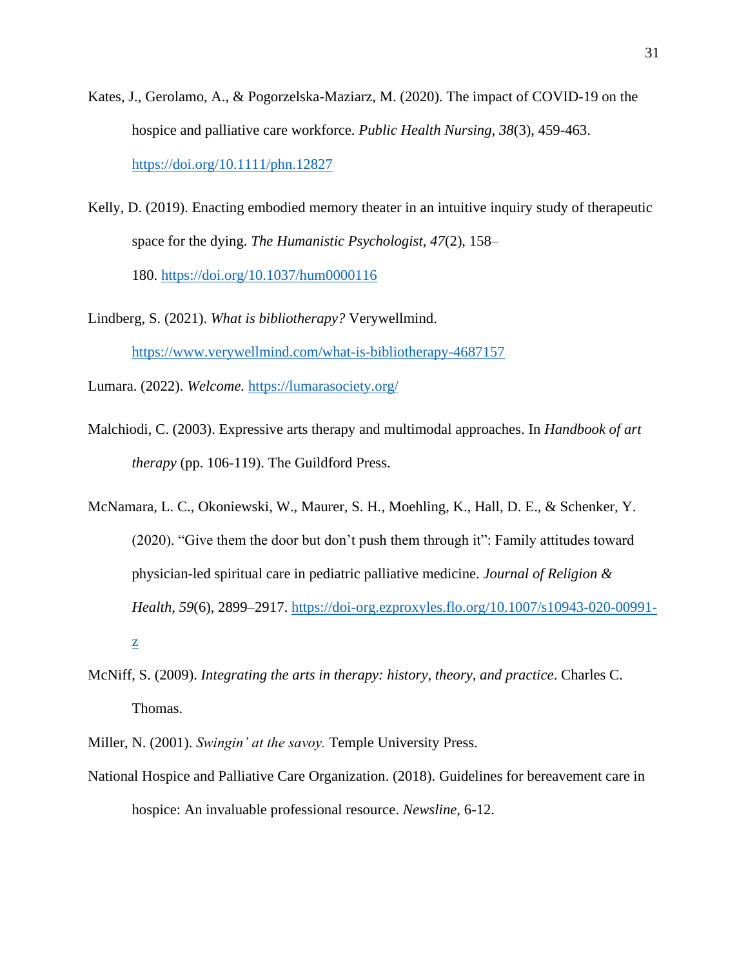- Kates, J., Gerolamo, A., & Pogorzelska-Maziarz, M. (2020). The impact of COVID-19 on the hospice and palliative care workforce. *Public Health Nursing, 38*(3), 459-463. <https://doi.org/10.1111/phn.12827>
- Kelly, D. (2019). Enacting embodied memory theater in an intuitive inquiry study of therapeutic space for the dying. *The Humanistic Psychologist, 47*(2), 158– 180. [https://doi.org/10.1037/hum0000116](https://psycnet.apa.org/doi/10.1037/hum0000116)
- Lindberg, S. (2021). *What is bibliotherapy?* Verywellmind. <https://www.verywellmind.com/what-is-bibliotherapy-4687157>

Lumara. (2022). *Welcome.* <https://lumarasociety.org/>

- Malchiodi, C. (2003). Expressive arts therapy and multimodal approaches. In *Handbook of art therapy* (pp. 106-119). The Guildford Press.
- McNamara, L. C., Okoniewski, W., Maurer, S. H., Moehling, K., Hall, D. E., & Schenker, Y. (2020). "Give them the door but don't push them through it": Family attitudes toward physician-led spiritual care in pediatric palliative medicine. *Journal of Religion & Health*, *59*(6), 2899–2917. [https://doi-org.ezproxyles.flo.org/10.1007/s10943-020-00991](https://doi-org.ezproxyles.flo.org/10.1007/s10943-020-00991-z) [z](https://doi-org.ezproxyles.flo.org/10.1007/s10943-020-00991-z)
- McNiff, S. (2009). *Integrating the arts in therapy: history, theory, and practice*. Charles C. Thomas.
- Miller, N. (2001). *Swingin' at the savoy.* Temple University Press.
- National Hospice and Palliative Care Organization. (2018). Guidelines for bereavement care in hospice: An invaluable professional resource. *Newsline,* 6-12.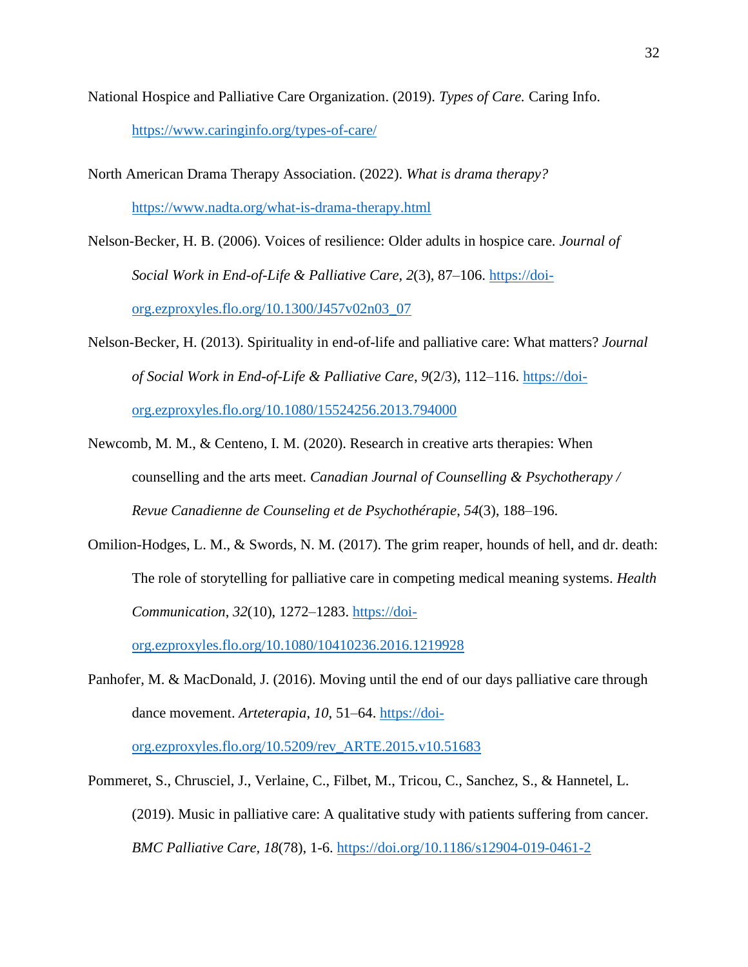National Hospice and Palliative Care Organization. (2019). *Types of Care.* Caring Info.

<https://www.caringinfo.org/types-of-care/>

North American Drama Therapy Association. (2022). *What is drama therapy?*  <https://www.nadta.org/what-is-drama-therapy.html>

Nelson-Becker, H. B. (2006). Voices of resilience: Older adults in hospice care. *Journal of Social Work in End-of-Life & Palliative Care*, *2*(3), 87–106. [https://doi](https://doi-org.ezproxyles.flo.org/10.1300/J457v02n03_07)[org.ezproxyles.flo.org/10.1300/J457v02n03\\_07](https://doi-org.ezproxyles.flo.org/10.1300/J457v02n03_07)

Nelson-Becker, H. (2013). Spirituality in end-of-life and palliative care: What matters? *Journal of Social Work in End-of-Life & Palliative Care*, *9*(2/3), 112–116. [https://doi](https://doi-org.ezproxyles.flo.org/10.1080/15524256.2013.794000)[org.ezproxyles.flo.org/10.1080/15524256.2013.794000](https://doi-org.ezproxyles.flo.org/10.1080/15524256.2013.794000)

- Newcomb, M. M., & Centeno, I. M. (2020). Research in creative arts therapies: When counselling and the arts meet. *Canadian Journal of Counselling & Psychotherapy / Revue Canadienne de Counseling et de Psychothérapie*, *54*(3), 188–196.
- Omilion-Hodges, L. M., & Swords, N. M. (2017). The grim reaper, hounds of hell, and dr. death: The role of storytelling for palliative care in competing medical meaning systems. *Health Communication*, *32*(10), 1272–1283. [https://doi-](https://doi-org.ezproxyles.flo.org/10.1080/10410236.2016.1219928)

[org.ezproxyles.flo.org/10.1080/10410236.2016.1219928](https://doi-org.ezproxyles.flo.org/10.1080/10410236.2016.1219928)

Panhofer, M. & MacDonald, J. (2016). Moving until the end of our days palliative care through dance movement. *Arteterapia*, *10*, 51–64. [https://doi-](https://doi-org.ezproxyles.flo.org/10.5209/rev_ARTE.2015.v10.51683)

[org.ezproxyles.flo.org/10.5209/rev\\_ARTE.2015.v10.51683](https://doi-org.ezproxyles.flo.org/10.5209/rev_ARTE.2015.v10.51683)

Pommeret, S., Chrusciel, J., Verlaine, C., Filbet, M., Tricou, C., Sanchez, S., & Hannetel, L. (2019). Music in palliative care: A qualitative study with patients suffering from cancer. *BMC Palliative Care, 18*(78), 1-6.<https://doi.org/10.1186/s12904-019-0461-2>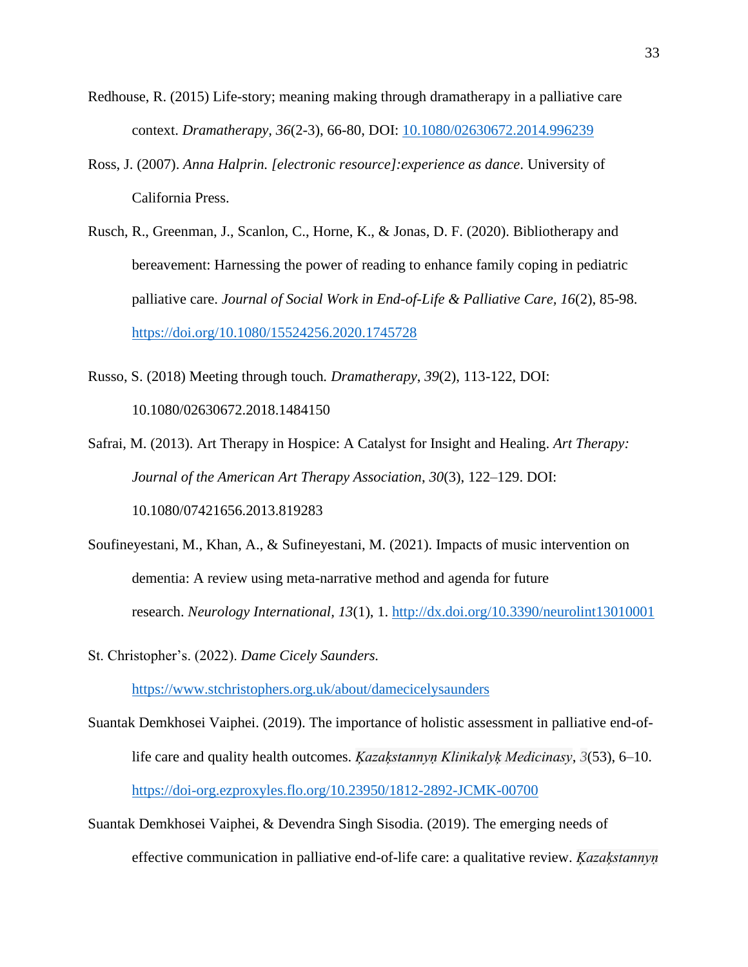- Redhouse, R. (2015) Life-story; meaning making through dramatherapy in a palliative care context. *Dramatherapy, 36*(2-3), 66-80, DOI: [10.1080/02630672.2014.996239](https://doi.org/10.1080/02630672.2014.996239)
- Ross, J. (2007). *Anna Halprin. [electronic resource]:experience as dance*. University of California Press.
- Rusch, R., Greenman, J., Scanlon, C., Horne, K., & Jonas, D. F. (2020). Bibliotherapy and bereavement: Harnessing the power of reading to enhance family coping in pediatric palliative care. *Journal of Social Work in End-of-Life & Palliative Care, 16*(2), 85-98. <https://doi.org/10.1080/15524256.2020.1745728>
- Russo, S. (2018) Meeting through touch*. Dramatherapy*, *39*(2), 113-122, DOI: 10.1080/02630672.2018.1484150
- Safrai, M. (2013). Art Therapy in Hospice: A Catalyst for Insight and Healing. *Art Therapy: Journal of the American Art Therapy Association*, *30*(3), 122–129. DOI: 10.1080/07421656.2013.819283
- Soufineyestani, M., Khan, A., & Sufineyestani, M. (2021). Impacts of music intervention on dementia: A review using meta-narrative method and agenda for future research. *Neurology International, 13*(1), 1.<http://dx.doi.org/10.3390/neurolint13010001>
- St. Christopher's. (2022). *Dame Cicely Saunders.*

<https://www.stchristophers.org.uk/about/damecicelysaunders>

- Suantak Demkhosei Vaiphei. (2019). The importance of holistic assessment in palliative end-oflife care and quality health outcomes. *Ķazaķstannyṇ Klinikalyķ Medicinasy*, *3*(53), 6–10. <https://doi-org.ezproxyles.flo.org/10.23950/1812-2892-JCMK-00700>
- Suantak Demkhosei Vaiphei, & Devendra Singh Sisodia. (2019). The emerging needs of effective communication in palliative end-of-life care: a qualitative review. *Ķazaķstannyṇ*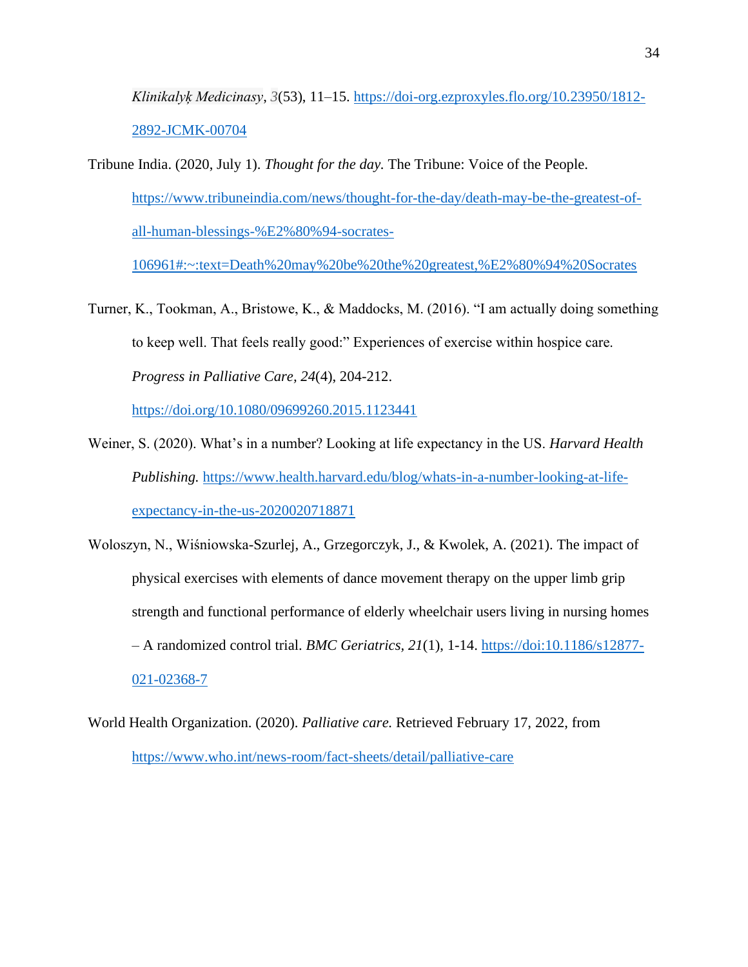*Klinikalyķ Medicinasy*, *3*(53), 11–15. [https://doi-org.ezproxyles.flo.org/10.23950/1812-](https://doi-org.ezproxyles.flo.org/10.23950/1812-2892-JCMK-00704) [2892-JCMK-00704](https://doi-org.ezproxyles.flo.org/10.23950/1812-2892-JCMK-00704)

Tribune India. (2020, July 1). *Thought for the day.* The Tribune: Voice of the People. [https://www.tribuneindia.com/news/thought-for-the-day/death-may-be-the-greatest-of](https://www.tribuneindia.com/news/thought-for-the-day/death-may-be-the-greatest-of-all-human-blessings-%E2%80%94-socrates-106961#:~:text=Death%20may%20be%20the%20greatest,%E2%80%94%20Socrates)[all-human-blessings-%E2%80%94-socrates-](https://www.tribuneindia.com/news/thought-for-the-day/death-may-be-the-greatest-of-all-human-blessings-%E2%80%94-socrates-106961#:~:text=Death%20may%20be%20the%20greatest,%E2%80%94%20Socrates)

[106961#:~:text=Death%20may%20be%20the%20greatest,%E2%80%94%20Socrates](https://www.tribuneindia.com/news/thought-for-the-day/death-may-be-the-greatest-of-all-human-blessings-%E2%80%94-socrates-106961#:~:text=Death%20may%20be%20the%20greatest,%E2%80%94%20Socrates)

Turner, K., Tookman, A., Bristowe, K., & Maddocks, M. (2016). "I am actually doing something to keep well. That feels really good:" Experiences of exercise within hospice care. *Progress in Palliative Care, 24*(4), 204-212.

<https://doi.org/10.1080/09699260.2015.1123441>

- Weiner, S. (2020). What's in a number? Looking at life expectancy in the US. *Harvard Health Publishing.* [https://www.health.harvard.edu/blog/whats-in-a-number-looking-at-life](https://www.health.harvard.edu/blog/whats-in-a-number-looking-at-life-expectancy-in-the-us-2020020718871)[expectancy-in-the-us-2020020718871](https://www.health.harvard.edu/blog/whats-in-a-number-looking-at-life-expectancy-in-the-us-2020020718871)
- Woloszyn, N., Wiśniowska-Szurlej, A., Grzegorczyk, J., & Kwolek, A. (2021). The impact of physical exercises with elements of dance movement therapy on the upper limb grip strength and functional performance of elderly wheelchair users living in nursing homes – A randomized control trial. *BMC Geriatrics, 21*(1), 1-14. [https://doi:10.1186/s12877-](https://doi:10.1186/s12877-021-02368-7) [021-02368-7](https://doi:10.1186/s12877-021-02368-7)
- World Health Organization. (2020). *Palliative care.* Retrieved February 17, 2022, from <https://www.who.int/news-room/fact-sheets/detail/palliative-care>